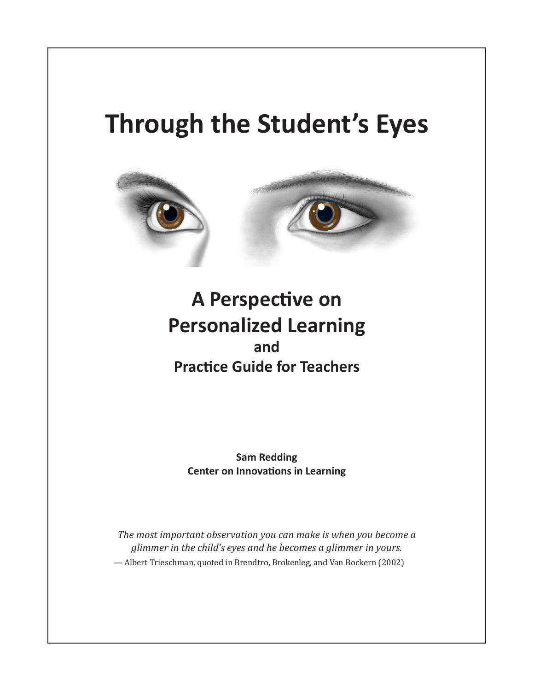# **Through the Student's Eyes**



## **A Perspective on Personalized Learning and Practice Guide for Teachers**

**Sam Redding Center on Innovations in Learning**

*The most important observation you can make is when you become a glimmer in the child's eyes and he becomes a glimmer in yours.* — Albert Trieschman, quoted in Brendtro, Brokenleg, and Van Bockern (2002)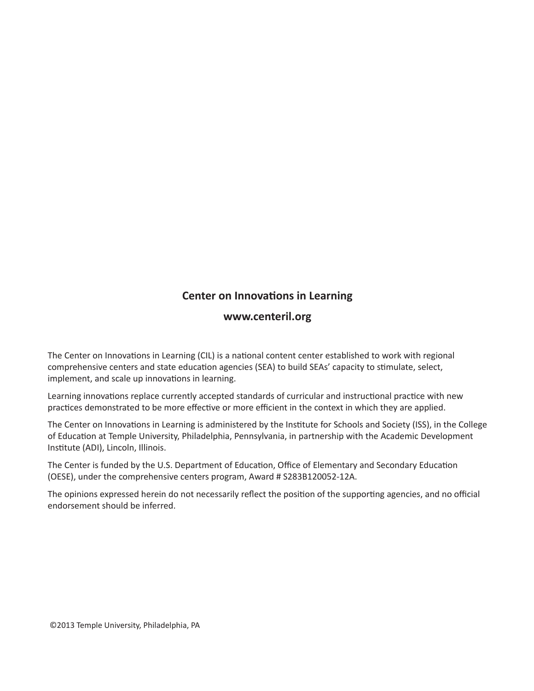## **Center on Innovations in Learning**

## **www.centeril.org**

The Center on Innovations in Learning (CIL) is a national content center established to work with regional comprehensive centers and state education agencies (SEA) to build SEAs' capacity to stimulate, select, implement, and scale up innovations in learning.

Learning innovations replace currently accepted standards of curricular and instructional practice with new practices demonstrated to be more effective or more efficient in the context in which they are applied.

The Center on Innovations in Learning is administered by the Institute for Schools and Society (ISS), in the College of Education at Temple University, Philadelphia, Pennsylvania, in partnership with the Academic Development Institute (ADI), Lincoln, Illinois.

The Center is funded by the U.S. Department of Education, Office of Elementary and Secondary Education (OESE), under the comprehensive centers program, Award # S283B120052-12A.

The opinions expressed herein do not necessarily reflect the position of the supporting agencies, and no official endorsement should be inferred.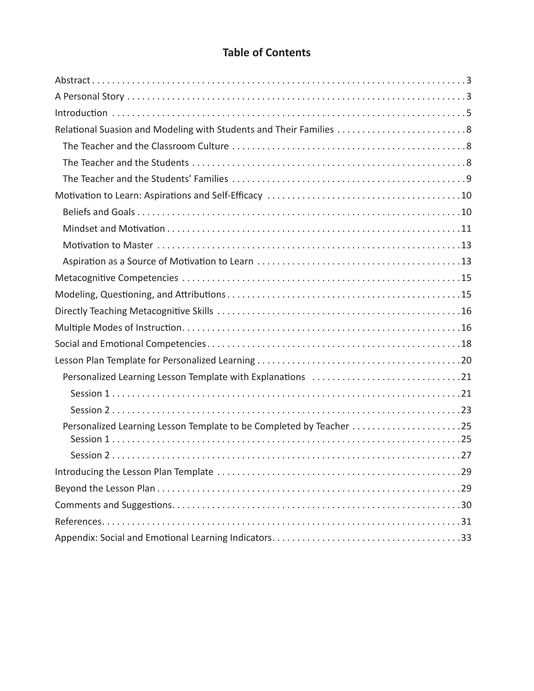## **Table of Contents**

| Relational Suasion and Modeling with Students and Their Families 8  |
|---------------------------------------------------------------------|
|                                                                     |
|                                                                     |
|                                                                     |
|                                                                     |
|                                                                     |
|                                                                     |
|                                                                     |
|                                                                     |
|                                                                     |
|                                                                     |
|                                                                     |
|                                                                     |
|                                                                     |
|                                                                     |
| Personalized Learning Lesson Template with Explanations 21          |
|                                                                     |
|                                                                     |
| Personalized Learning Lesson Template to be Completed by Teacher 25 |
|                                                                     |
|                                                                     |
|                                                                     |
|                                                                     |
|                                                                     |
|                                                                     |
|                                                                     |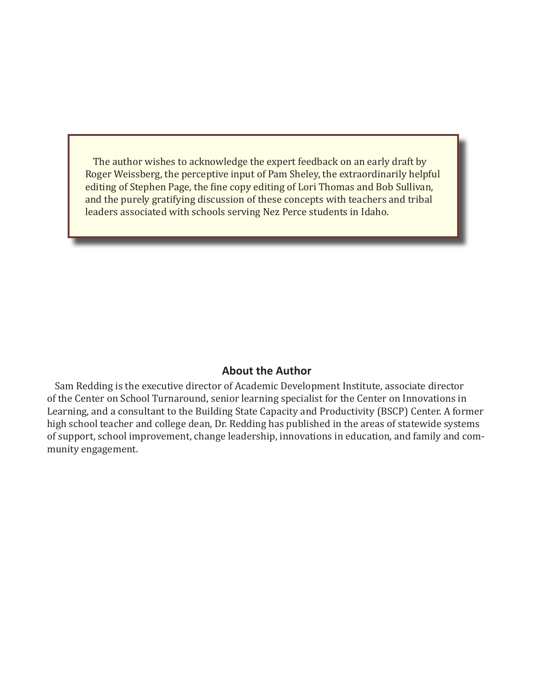The author wishes to acknowledge the expert feedback on an early draft by Roger Weissberg, the perceptive input of Pam Sheley, the extraordinarily helpful editing of Stephen Page, the fine copy editing of Lori Thomas and Bob Sullivan, and the purely gratifying discussion of these concepts with teachers and tribal leaders associated with schools serving Nez Perce students in Idaho.

## **About the Author**

Sam Redding is the executive director of Academic Development Institute, associate director of the Center on School Turnaround, senior learning specialist for the Center on Innovations in Learning, and a consultant to the Building State Capacity and Productivity (BSCP) Center. A former high school teacher and college dean, Dr. Redding has published in the areas of statewide systems of support, school improvement, change leadership, innovations in education, and family and community engagement.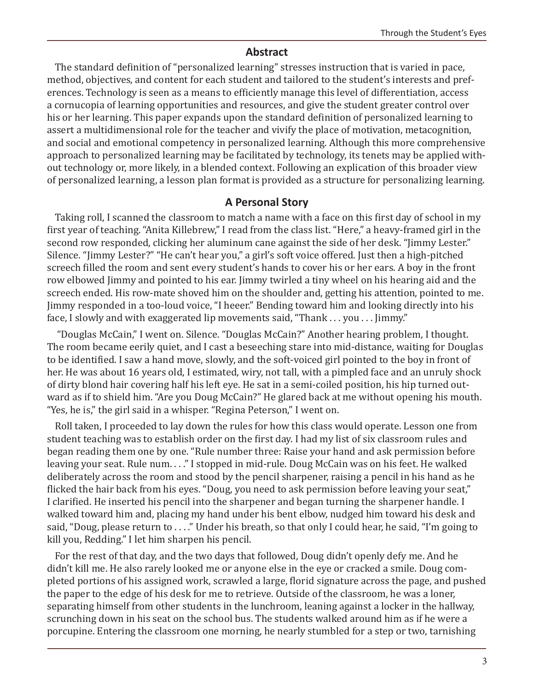#### **Abstract**

The standard definition of "personalized learning" stresses instruction that is varied in pace, method, objectives, and content for each student and tailored to the student's interests and preferences. Technology is seen as a means to efficiently manage this level of differentiation, access a cornucopia of learning opportunities and resources, and give the student greater control over his or her learning. This paper expands upon the standard definition of personalized learning to assert a multidimensional role for the teacher and vivify the place of motivation, metacognition, and social and emotional competency in personalized learning. Although this more comprehensive approach to personalized learning may be facilitated by technology, its tenets may be applied without technology or, more likely, in a blended context. Following an explication of this broader view of personalized learning, a lesson plan format is provided as a structure for personalizing learning.

#### **A Personal Story**

Taking roll, I scanned the classroom to match a name with a face on this first day of school in my first year of teaching. "Anita Killebrew," I read from the class list. "Here," a heavy-framed girl in the second row responded, clicking her aluminum cane against the side of her desk. "Jimmy Lester." Silence. "Jimmy Lester?" "He can't hear you," a girl's soft voice offered. Just then a high-pitched screech filled the room and sent every student's hands to cover his or her ears. A boy in the front row elbowed Jimmy and pointed to his ear. Jimmy twirled a tiny wheel on his hearing aid and the screech ended. His row-mate shoved him on the shoulder and, getting his attention, pointed to me. Jimmy responded in a too-loud voice, "I heeer." Bending toward him and looking directly into his face, I slowly and with exaggerated lip movements said, "Thank . . . you . . . Jimmy."

 "Douglas McCain," I went on. Silence. "Douglas McCain?" Another hearing problem, I thought. The room became eerily quiet, and I cast a beseeching stare into mid-distance, waiting for Douglas to be identified. I saw a hand move, slowly, and the soft-voiced girl pointed to the boy in front of her. He was about 16 years old, I estimated, wiry, not tall, with a pimpled face and an unruly shock of dirty blond hair covering half his left eye. He sat in a semi-coiled position, his hip turned outward as if to shield him. "Are you Doug McCain?" He glared back at me without opening his mouth. "Yes, he is," the girl said in a whisper. "Regina Peterson," I went on.

Roll taken, I proceeded to lay down the rules for how this class would operate. Lesson one from student teaching was to establish order on the first day. I had my list of six classroom rules and began reading them one by one. "Rule number three: Raise your hand and ask permission before leaving your seat. Rule num. . . ." I stopped in mid-rule. Doug McCain was on his feet. He walked deliberately across the room and stood by the pencil sharpener, raising a pencil in his hand as he flicked the hair back from his eyes. "Doug, you need to ask permission before leaving your seat," I clarified. He inserted his pencil into the sharpener and began turning the sharpener handle. I walked toward him and, placing my hand under his bent elbow, nudged him toward his desk and said, "Doug, please return to . . . ." Under his breath, so that only I could hear, he said, "I'm going to kill you, Redding." I let him sharpen his pencil.

For the rest of that day, and the two days that followed, Doug didn't openly defy me. And he didn't kill me. He also rarely looked me or anyone else in the eye or cracked a smile. Doug completed portions of his assigned work, scrawled a large, florid signature across the page, and pushed the paper to the edge of his desk for me to retrieve. Outside of the classroom, he was a loner, separating himself from other students in the lunchroom, leaning against a locker in the hallway, scrunching down in his seat on the school bus. The students walked around him as if he were a porcupine. Entering the classroom one morning, he nearly stumbled for a step or two, tarnishing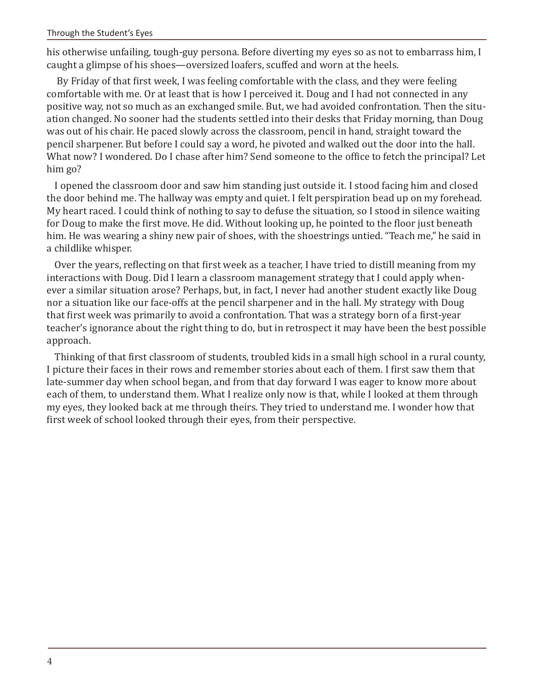his otherwise unfailing, tough-guy persona. Before diverting my eyes so as not to embarrass him, I caught a glimpse of his shoes—oversized loafers, scuffed and worn at the heels.

 By Friday of that first week, I was feeling comfortable with the class, and they were feeling comfortable with me. Or at least that is how I perceived it. Doug and I had not connected in any positive way, not so much as an exchanged smile. But, we had avoided confrontation. Then the situation changed. No sooner had the students settled into their desks that Friday morning, than Doug was out of his chair. He paced slowly across the classroom, pencil in hand, straight toward the pencil sharpener. But before I could say a word, he pivoted and walked out the door into the hall. What now? I wondered. Do I chase after him? Send someone to the office to fetch the principal? Let him go?

I opened the classroom door and saw him standing just outside it. I stood facing him and closed the door behind me. The hallway was empty and quiet. I felt perspiration bead up on my forehead. My heart raced. I could think of nothing to say to defuse the situation, so I stood in silence waiting for Doug to make the first move. He did. Without looking up, he pointed to the floor just beneath him. He was wearing a shiny new pair of shoes, with the shoestrings untied. "Teach me," he said in a childlike whisper.

Over the years, reflecting on that first week as a teacher, I have tried to distill meaning from my interactions with Doug. Did I learn a classroom management strategy that I could apply whenever a similar situation arose? Perhaps, but, in fact, I never had another student exactly like Doug nor a situation like our face-offs at the pencil sharpener and in the hall. My strategy with Doug that first week was primarily to avoid a confrontation. That was a strategy born of a first-year teacher's ignorance about the right thing to do, but in retrospect it may have been the best possible approach.

Thinking of that first classroom of students, troubled kids in a small high school in a rural county, I picture their faces in their rows and remember stories about each of them. I first saw them that late-summer day when school began, and from that day forward I was eager to know more about each of them, to understand them. What I realize only now is that, while I looked at them through my eyes, they looked back at me through theirs. They tried to understand me. I wonder how that first week of school looked through their eyes, from their perspective.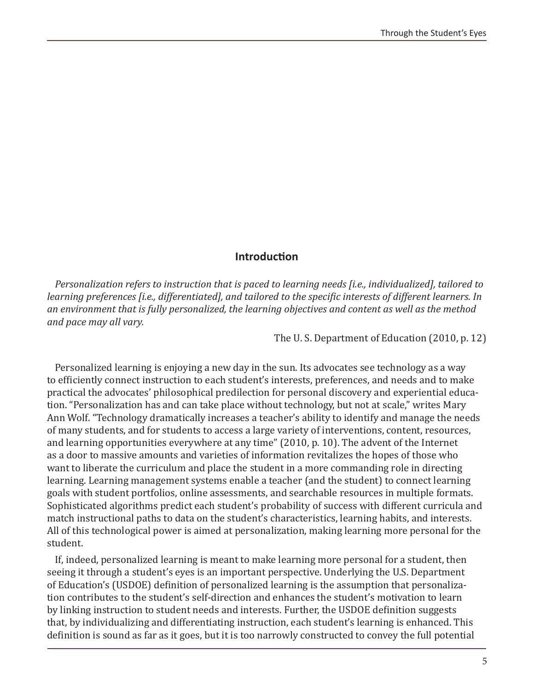#### **Introduction**

*Personalization refers to instruction that is paced to learning needs [i.e., individualized], tailored to learning preferences [i.e., differentiated], and tailored to the specific interests of different learners. In an environment that is fully personalized, the learning objectives and content as well as the method and pace may all vary.* 

The U. S. Department of Education (2010, p. 12)

Personalized learning is enjoying a new day in the sun. Its advocates see technology as a way to efficiently connect instruction to each student's interests, preferences, and needs and to make practical the advocates' philosophical predilection for personal discovery and experiential education. "Personalization has and can take place without technology, but not at scale," writes Mary Ann Wolf. "Technology dramatically increases a teacher's ability to identify and manage the needs of many students, and for students to access a large variety of interventions, content, resources, and learning opportunities everywhere at any time" (2010, p. 10). The advent of the Internet as a door to massive amounts and varieties of information revitalizes the hopes of those who want to liberate the curriculum and place the student in a more commanding role in directing learning. Learning management systems enable a teacher (and the student) to connect learning goals with student portfolios, online assessments, and searchable resources in multiple formats. Sophisticated algorithms predict each student's probability of success with different curricula and match instructional paths to data on the student's characteristics, learning habits, and interests. All of this technological power is aimed at personalization, making learning more personal for the student.

If, indeed, personalized learning is meant to make learning more personal for a student, then seeing it through a student's eyes is an important perspective. Underlying the U.S. Department of Education's (USDOE) definition of personalized learning is the assumption that personalization contributes to the student's self-direction and enhances the student's motivation to learn by linking instruction to student needs and interests. Further, the USDOE definition suggests that, by individualizing and differentiating instruction, each student's learning is enhanced. This definition is sound as far as it goes, but it is too narrowly constructed to convey the full potential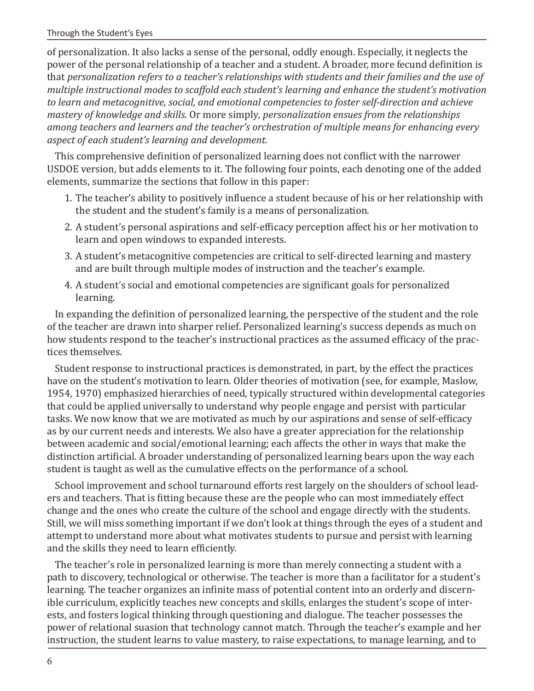#### Through the Student's Eyes

of personalization. It also lacks a sense of the personal, oddly enough. Especially, it neglects the power of the personal relationship of a teacher and a student. A broader, more fecund definition is that *personalization refers to a teacher's relationships with students and their families and the use of multiple instructional modes to scaffold each student's learning and enhance the student's motivation to learn and metacognitive, social, and emotional competencies to foster self-direction and achieve mastery of knowledge and skills.* Or more simply*, personalization ensues from the relationships among teachers and learners and the teacher's orchestration of multiple means for enhancing every aspect of each student's learning and development.*

This comprehensive definition of personalized learning does not conflict with the narrower USDOE version, but adds elements to it. The following four points, each denoting one of the added elements, summarize the sections that follow in this paper:

- 1. The teacher's ability to positively influence a student because of his or her relationship with the student and the student's family is a means of personalization.
- 2. A student's personal aspirations and self-efficacy perception affect his or her motivation to learn and open windows to expanded interests.
- 3. A student's metacognitive competencies are critical to self-directed learning and mastery and are built through multiple modes of instruction and the teacher's example.
- 4. A student's social and emotional competencies are significant goals for personalized learning.

In expanding the definition of personalized learning, the perspective of the student and the role of the teacher are drawn into sharper relief. Personalized learning's success depends as much on how students respond to the teacher's instructional practices as the assumed efficacy of the practices themselves.

Student response to instructional practices is demonstrated, in part, by the effect the practices have on the student's motivation to learn. Older theories of motivation (see, for example, Maslow, 1954, 1970) emphasized hierarchies of need, typically structured within developmental categories that could be applied universally to understand why people engage and persist with particular tasks. We now know that we are motivated as much by our aspirations and sense of self-efficacy as by our current needs and interests. We also have a greater appreciation for the relationship between academic and social/emotional learning; each affects the other in ways that make the distinction artificial. A broader understanding of personalized learning bears upon the way each student is taught as well as the cumulative effects on the performance of a school.

School improvement and school turnaround efforts rest largely on the shoulders of school leaders and teachers. That is fitting because these are the people who can most immediately effect change and the ones who create the culture of the school and engage directly with the students. Still, we will miss something important if we don't look at things through the eyes of a student and attempt to understand more about what motivates students to pursue and persist with learning and the skills they need to learn efficiently.

The teacher's role in personalized learning is more than merely connecting a student with a path to discovery, technological or otherwise. The teacher is more than a facilitator for a student's learning. The teacher organizes an infinite mass of potential content into an orderly and discernible curriculum, explicitly teaches new concepts and skills, enlarges the student's scope of interests, and fosters logical thinking through questioning and dialogue. The teacher possesses the power of relational suasion that technology cannot match. Through the teacher's example and her instruction, the student learns to value mastery, to raise expectations, to manage learning, and to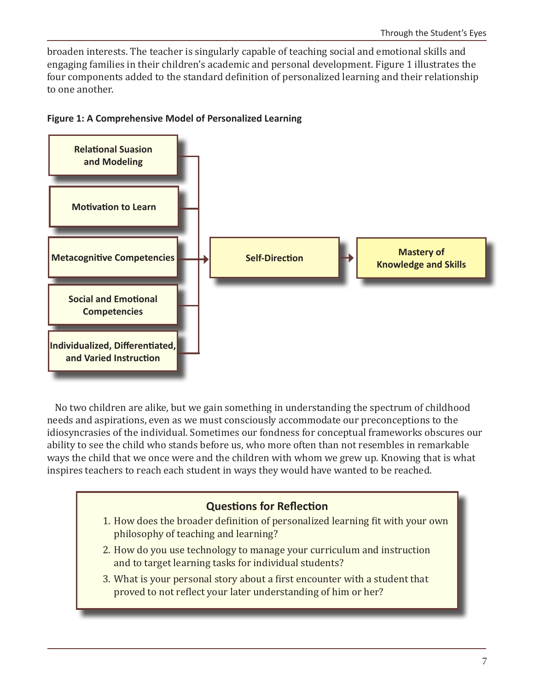broaden interests. The teacher is singularly capable of teaching social and emotional skills and engaging families in their children's academic and personal development. Figure 1 illustrates the four components added to the standard definition of personalized learning and their relationship to one another.



#### **Figure 1: A Comprehensive Model of Personalized Learning**

No two children are alike, but we gain something in understanding the spectrum of childhood needs and aspirations, even as we must consciously accommodate our preconceptions to the idiosyncrasies of the individual. Sometimes our fondness for conceptual frameworks obscures our ability to see the child who stands before us, who more often than not resembles in remarkable ways the child that we once were and the children with whom we grew up. Knowing that is what inspires teachers to reach each student in ways they would have wanted to be reached.

## **Questions for Reflection** 1. How does the broader definition of personalized learning fit with your own philosophy of teaching and learning? 2. How do you use technology to manage your curriculum and instruction and to target learning tasks for individual students? 3. What is your personal story about a first encounter with a student that proved to not reflect your later understanding of him or her?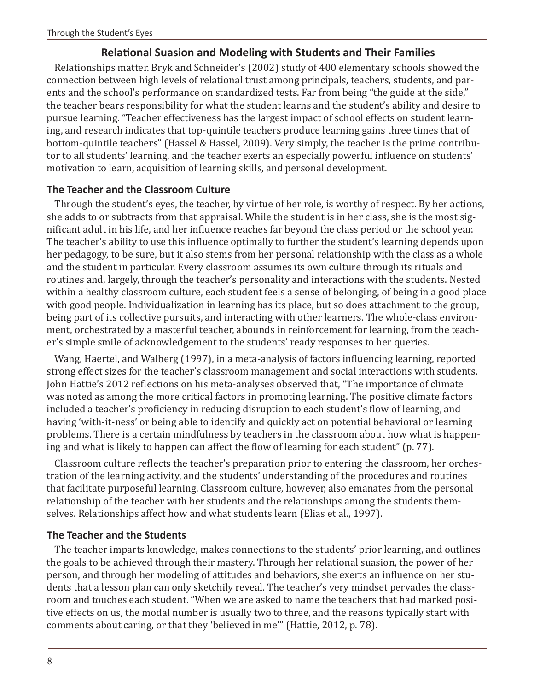## **Relational Suasion and Modeling with Students and Their Families**

Relationships matter. Bryk and Schneider's (2002) study of 400 elementary schools showed the connection between high levels of relational trust among principals, teachers, students, and parents and the school's performance on standardized tests. Far from being "the guide at the side," the teacher bears responsibility for what the student learns and the student's ability and desire to pursue learning. "Teacher effectiveness has the largest impact of school effects on student learning, and research indicates that top-quintile teachers produce learning gains three times that of bottom-quintile teachers" (Hassel & Hassel, 2009). Very simply, the teacher is the prime contributor to all students' learning, and the teacher exerts an especially powerful influence on students' motivation to learn, acquisition of learning skills, and personal development.

## **The Teacher and the Classroom Culture**

Through the student's eyes, the teacher, by virtue of her role, is worthy of respect. By her actions, she adds to or subtracts from that appraisal. While the student is in her class, she is the most significant adult in his life, and her influence reaches far beyond the class period or the school year. The teacher's ability to use this influence optimally to further the student's learning depends upon her pedagogy, to be sure, but it also stems from her personal relationship with the class as a whole and the student in particular. Every classroom assumes its own culture through its rituals and routines and, largely, through the teacher's personality and interactions with the students. Nested within a healthy classroom culture, each student feels a sense of belonging, of being in a good place with good people. Individualization in learning has its place, but so does attachment to the group, being part of its collective pursuits, and interacting with other learners. The whole-class environment, orchestrated by a masterful teacher, abounds in reinforcement for learning, from the teacher's simple smile of acknowledgement to the students' ready responses to her queries.

Wang, Haertel, and Walberg (1997), in a meta-analysis of factors influencing learning, reported strong effect sizes for the teacher's classroom management and social interactions with students. John Hattie's 2012 reflections on his meta-analyses observed that, "The importance of climate was noted as among the more critical factors in promoting learning. The positive climate factors included a teacher's proficiency in reducing disruption to each student's flow of learning, and having 'with-it-ness' or being able to identify and quickly act on potential behavioral or learning problems. There is a certain mindfulness by teachers in the classroom about how what is happening and what is likely to happen can affect the flow of learning for each student" (p. 77).

Classroom culture reflects the teacher's preparation prior to entering the classroom, her orchestration of the learning activity, and the students' understanding of the procedures and routines that facilitate purposeful learning. Classroom culture, however, also emanates from the personal relationship of the teacher with her students and the relationships among the students themselves. Relationships affect how and what students learn (Elias et al., 1997).

## **The Teacher and the Students**

The teacher imparts knowledge, makes connections to the students' prior learning, and outlines the goals to be achieved through their mastery. Through her relational suasion, the power of her person, and through her modeling of attitudes and behaviors, she exerts an influence on her students that a lesson plan can only sketchily reveal. The teacher's very mindset pervades the classroom and touches each student. "When we are asked to name the teachers that had marked positive effects on us, the modal number is usually two to three, and the reasons typically start with comments about caring, or that they 'believed in me'" (Hattie, 2012, p. 78).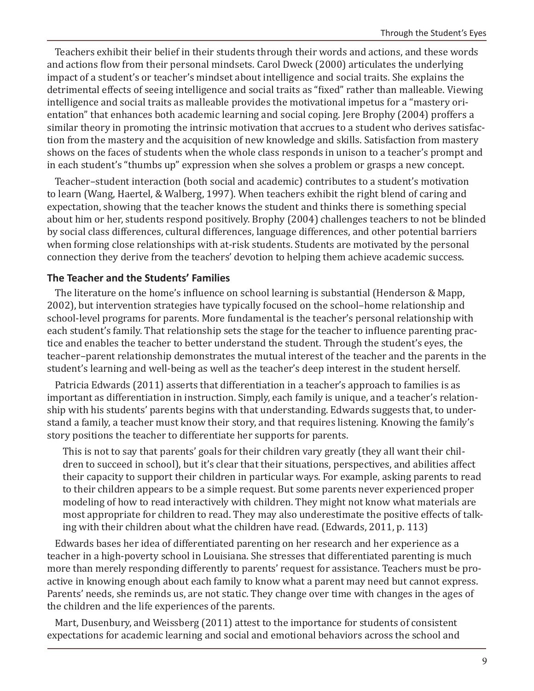Teachers exhibit their belief in their students through their words and actions, and these words and actions flow from their personal mindsets. Carol Dweck (2000) articulates the underlying impact of a student's or teacher's mindset about intelligence and social traits. She explains the detrimental effects of seeing intelligence and social traits as "fixed" rather than malleable. Viewing intelligence and social traits as malleable provides the motivational impetus for a "mastery orientation" that enhances both academic learning and social coping. Jere Brophy (2004) proffers a similar theory in promoting the intrinsic motivation that accrues to a student who derives satisfaction from the mastery and the acquisition of new knowledge and skills. Satisfaction from mastery shows on the faces of students when the whole class responds in unison to a teacher's prompt and in each student's "thumbs up" expression when she solves a problem or grasps a new concept.

Teacher–student interaction (both social and academic) contributes to a student's motivation to learn (Wang, Haertel, & Walberg, 1997). When teachers exhibit the right blend of caring and expectation, showing that the teacher knows the student and thinks there is something special about him or her, students respond positively. Brophy (2004) challenges teachers to not be blinded by social class differences, cultural differences, language differences, and other potential barriers when forming close relationships with at-risk students. Students are motivated by the personal connection they derive from the teachers' devotion to helping them achieve academic success.

## **The Teacher and the Students' Families**

The literature on the home's influence on school learning is substantial (Henderson & Mapp, 2002), but intervention strategies have typically focused on the school–home relationship and school-level programs for parents. More fundamental is the teacher's personal relationship with each student's family. That relationship sets the stage for the teacher to influence parenting practice and enables the teacher to better understand the student. Through the student's eyes, the teacher–parent relationship demonstrates the mutual interest of the teacher and the parents in the student's learning and well-being as well as the teacher's deep interest in the student herself.

Patricia Edwards (2011) asserts that differentiation in a teacher's approach to families is as important as differentiation in instruction. Simply, each family is unique, and a teacher's relationship with his students' parents begins with that understanding. Edwards suggests that, to understand a family, a teacher must know their story, and that requires listening. Knowing the family's story positions the teacher to differentiate her supports for parents.

This is not to say that parents' goals for their children vary greatly (they all want their children to succeed in school), but it's clear that their situations, perspectives, and abilities affect their capacity to support their children in particular ways. For example, asking parents to read to their children appears to be a simple request. But some parents never experienced proper modeling of how to read interactively with children. They might not know what materials are most appropriate for children to read. They may also underestimate the positive effects of talking with their children about what the children have read. (Edwards, 2011, p. 113)

Edwards bases her idea of differentiated parenting on her research and her experience as a teacher in a high-poverty school in Louisiana. She stresses that differentiated parenting is much more than merely responding differently to parents' request for assistance. Teachers must be proactive in knowing enough about each family to know what a parent may need but cannot express. Parents' needs, she reminds us, are not static. They change over time with changes in the ages of the children and the life experiences of the parents.

Mart, Dusenbury, and Weissberg (2011) attest to the importance for students of consistent expectations for academic learning and social and emotional behaviors across the school and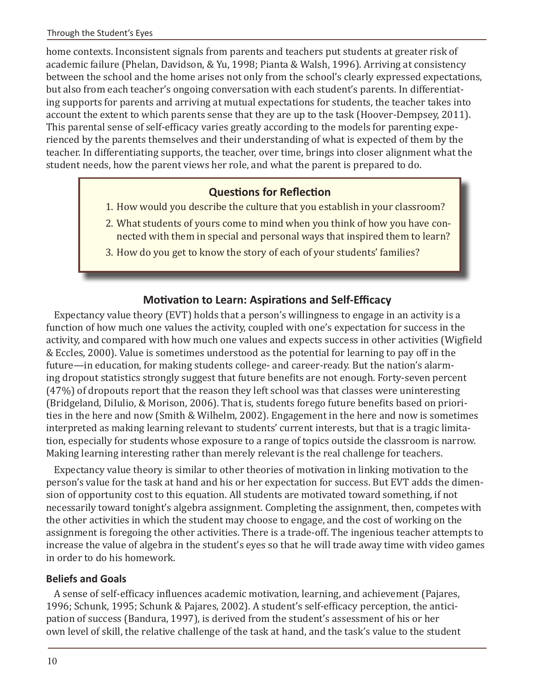home contexts. Inconsistent signals from parents and teachers put students at greater risk of academic failure (Phelan, Davidson, & Yu, 1998; Pianta & Walsh, 1996). Arriving at consistency between the school and the home arises not only from the school's clearly expressed expectations, but also from each teacher's ongoing conversation with each student's parents. In differentiating supports for parents and arriving at mutual expectations for students, the teacher takes into account the extent to which parents sense that they are up to the task (Hoover-Dempsey, 2011). This parental sense of self-efficacy varies greatly according to the models for parenting experienced by the parents themselves and their understanding of what is expected of them by the teacher. In differentiating supports, the teacher, over time, brings into closer alignment what the student needs, how the parent views her role, and what the parent is prepared to do.

## **Questions for Reflection**

- 1. How would you describe the culture that you establish in your classroom?
- 2. What students of yours come to mind when you think of how you have connected with them in special and personal ways that inspired them to learn?
- 3. How do you get to know the story of each of your students' families?

## **Motivation to Learn: Aspirations and Self-Efficacy**

Expectancy value theory (EVT) holds that a person's willingness to engage in an activity is a function of how much one values the activity, coupled with one's expectation for success in the activity, and compared with how much one values and expects success in other activities (Wigfield & Eccles, 2000). Value is sometimes understood as the potential for learning to pay off in the future—in education, for making students college- and career-ready. But the nation's alarming dropout statistics strongly suggest that future benefits are not enough. Forty-seven percent (47%) of dropouts report that the reason they left school was that classes were uninteresting (Bridgeland, DiIulio, & Morison, 2006). That is, students forego future benefits based on priorities in the here and now (Smith & Wilhelm, 2002). Engagement in the here and now is sometimes interpreted as making learning relevant to students' current interests, but that is a tragic limitation, especially for students whose exposure to a range of topics outside the classroom is narrow. Making learning interesting rather than merely relevant is the real challenge for teachers.

Expectancy value theory is similar to other theories of motivation in linking motivation to the person's value for the task at hand and his or her expectation for success. But EVT adds the dimension of opportunity cost to this equation. All students are motivated toward something, if not necessarily toward tonight's algebra assignment. Completing the assignment, then, competes with the other activities in which the student may choose to engage, and the cost of working on the assignment is foregoing the other activities. There is a trade-off. The ingenious teacher attempts to increase the value of algebra in the student's eyes so that he will trade away time with video games in order to do his homework.

## **Beliefs and Goals**

A sense of self-efficacy influences academic motivation, learning, and achievement (Pajares, 1996; Schunk, 1995; Schunk & Pajares, 2002). A student's self-efficacy perception, the anticipation of success (Bandura, 1997), is derived from the student's assessment of his or her own level of skill, the relative challenge of the task at hand, and the task's value to the student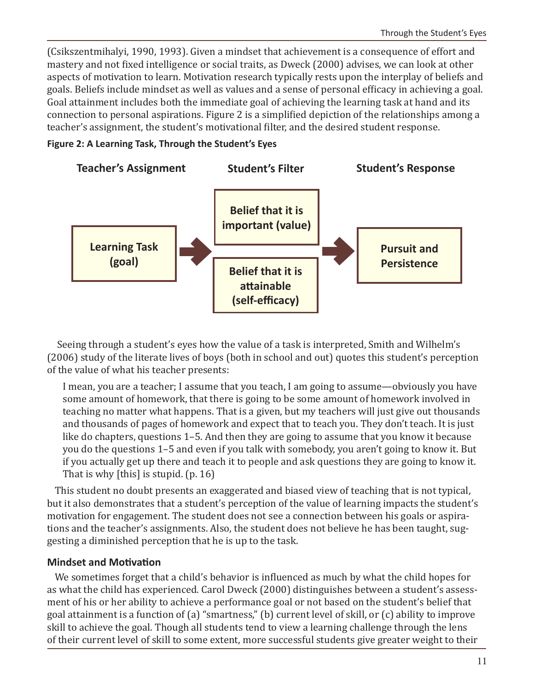(Csikszentmihalyi, 1990, 1993). Given a mindset that achievement is a consequence of effort and mastery and not fixed intelligence or social traits, as Dweck (2000) advises, we can look at other aspects of motivation to learn. Motivation research typically rests upon the interplay of beliefs and goals. Beliefs include mindset as well as values and a sense of personal efficacy in achieving a goal. Goal attainment includes both the immediate goal of achieving the learning task at hand and its connection to personal aspirations. Figure 2 is a simplified depiction of the relationships among a teacher's assignment, the student's motivational filter, and the desired student response.

#### **Figure 2: A Learning Task, Through the Student's Eyes**



 Seeing through a student's eyes how the value of a task is interpreted, Smith and Wilhelm's (2006) study of the literate lives of boys (both in school and out) quotes this student's perception of the value of what his teacher presents:

I mean, you are a teacher; I assume that you teach, I am going to assume—obviously you have some amount of homework, that there is going to be some amount of homework involved in teaching no matter what happens. That is a given, but my teachers will just give out thousands and thousands of pages of homework and expect that to teach you. They don't teach. It is just like do chapters, questions 1–5. And then they are going to assume that you know it because you do the questions 1–5 and even if you talk with somebody, you aren't going to know it. But if you actually get up there and teach it to people and ask questions they are going to know it. That is why [this] is stupid. (p. 16)

This student no doubt presents an exaggerated and biased view of teaching that is not typical, but it also demonstrates that a student's perception of the value of learning impacts the student's motivation for engagement. The student does not see a connection between his goals or aspirations and the teacher's assignments. Also, the student does not believe he has been taught, suggesting a diminished perception that he is up to the task.

## **Mindset and Motivation**

We sometimes forget that a child's behavior is influenced as much by what the child hopes for as what the child has experienced. Carol Dweck (2000) distinguishes between a student's assessment of his or her ability to achieve a performance goal or not based on the student's belief that goal attainment is a function of (a) "smartness," (b) current level of skill, or (c) ability to improve skill to achieve the goal. Though all students tend to view a learning challenge through the lens of their current level of skill to some extent, more successful students give greater weight to their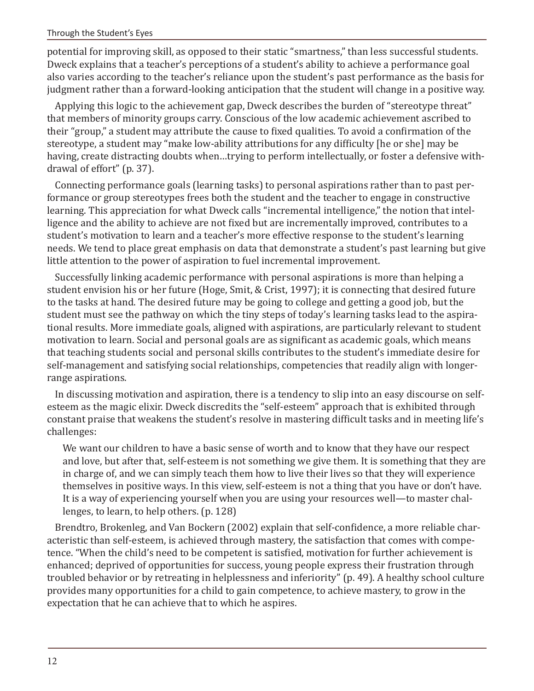#### Through the Student's Eyes

potential for improving skill, as opposed to their static "smartness," than less successful students. Dweck explains that a teacher's perceptions of a student's ability to achieve a performance goal also varies according to the teacher's reliance upon the student's past performance as the basis for judgment rather than a forward-looking anticipation that the student will change in a positive way.

Applying this logic to the achievement gap, Dweck describes the burden of "stereotype threat" that members of minority groups carry. Conscious of the low academic achievement ascribed to their "group," a student may attribute the cause to fixed qualities. To avoid a confirmation of the stereotype, a student may "make low-ability attributions for any difficulty [he or she] may be having, create distracting doubts when…trying to perform intellectually, or foster a defensive withdrawal of effort" (p. 37).

Connecting performance goals (learning tasks) to personal aspirations rather than to past performance or group stereotypes frees both the student and the teacher to engage in constructive learning. This appreciation for what Dweck calls "incremental intelligence," the notion that intelligence and the ability to achieve are not fixed but are incrementally improved, contributes to a student's motivation to learn and a teacher's more effective response to the student's learning needs. We tend to place great emphasis on data that demonstrate a student's past learning but give little attention to the power of aspiration to fuel incremental improvement.

Successfully linking academic performance with personal aspirations is more than helping a student envision his or her future (Hoge, Smit, & Crist, 1997); it is connecting that desired future to the tasks at hand. The desired future may be going to college and getting a good job, but the student must see the pathway on which the tiny steps of today's learning tasks lead to the aspirational results. More immediate goals, aligned with aspirations, are particularly relevant to student motivation to learn. Social and personal goals are as significant as academic goals, which means that teaching students social and personal skills contributes to the student's immediate desire for self-management and satisfying social relationships, competencies that readily align with longerrange aspirations.

In discussing motivation and aspiration, there is a tendency to slip into an easy discourse on selfesteem as the magic elixir. Dweck discredits the "self-esteem" approach that is exhibited through constant praise that weakens the student's resolve in mastering difficult tasks and in meeting life's challenges:

We want our children to have a basic sense of worth and to know that they have our respect and love, but after that, self-esteem is not something we give them. It is something that they are in charge of, and we can simply teach them how to live their lives so that they will experience themselves in positive ways. In this view, self-esteem is not a thing that you have or don't have. It is a way of experiencing yourself when you are using your resources well—to master challenges, to learn, to help others. (p. 128)

Brendtro, Brokenleg, and Van Bockern (2002) explain that self-confidence, a more reliable characteristic than self-esteem, is achieved through mastery, the satisfaction that comes with competence. "When the child's need to be competent is satisfied, motivation for further achievement is enhanced; deprived of opportunities for success, young people express their frustration through troubled behavior or by retreating in helplessness and inferiority" (p. 49). A healthy school culture provides many opportunities for a child to gain competence, to achieve mastery, to grow in the expectation that he can achieve that to which he aspires.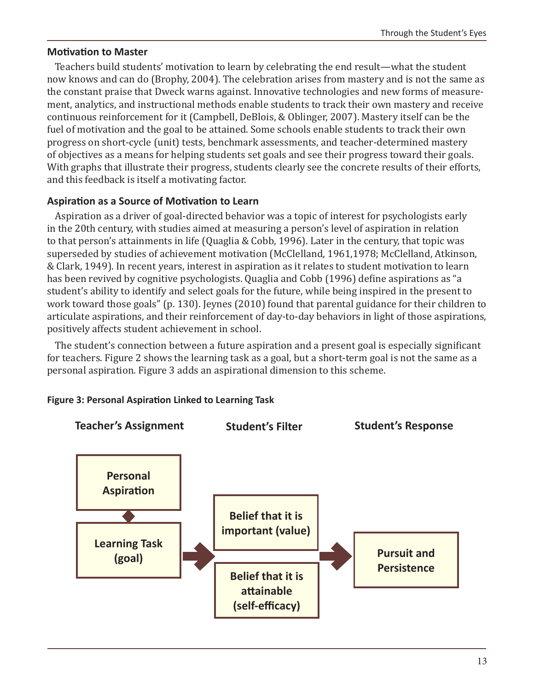## **Motivation to Master**

Teachers build students' motivation to learn by celebrating the end result—what the student now knows and can do (Brophy, 2004). The celebration arises from mastery and is not the same as the constant praise that Dweck warns against. Innovative technologies and new forms of measurement, analytics, and instructional methods enable students to track their own mastery and receive continuous reinforcement for it (Campbell, DeBlois, & Oblinger, 2007). Mastery itself can be the fuel of motivation and the goal to be attained. Some schools enable students to track their own progress on short-cycle (unit) tests, benchmark assessments, and teacher-determined mastery of objectives as a means for helping students set goals and see their progress toward their goals. With graphs that illustrate their progress, students clearly see the concrete results of their efforts, and this feedback is itself a motivating factor.

## **Aspiration as a Source of Motivation to Learn**

Aspiration as a driver of goal-directed behavior was a topic of interest for psychologists early in the 20th century, with studies aimed at measuring a person's level of aspiration in relation to that person's attainments in life (Quaglia & Cobb, 1996). Later in the century, that topic was superseded by studies of achievement motivation (McClelland, 1961,1978; McClelland, Atkinson, & Clark, 1949). In recent years, interest in aspiration as it relates to student motivation to learn has been revived by cognitive psychologists. Quaglia and Cobb (1996) define aspirations as "a student's ability to identify and select goals for the future, while being inspired in the present to work toward those goals" (p. 130). Jeynes (2010) found that parental guidance for their children to articulate aspirations, and their reinforcement of day-to-day behaviors in light of those aspirations, positively affects student achievement in school.

The student's connection between a future aspiration and a present goal is especially significant for teachers. Figure 2 shows the learning task as a goal, but a short-term goal is not the same as a personal aspiration. Figure 3 adds an aspirational dimension to this scheme.



## **Figure 3: Personal Aspiration Linked to Learning Task**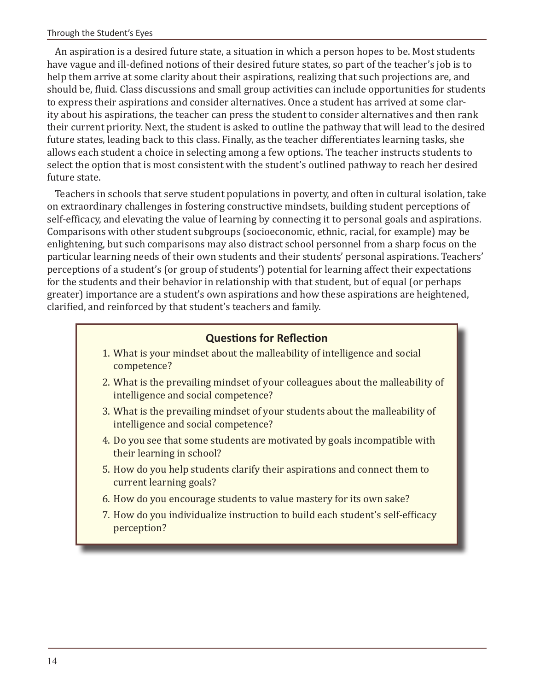An aspiration is a desired future state, a situation in which a person hopes to be. Most students have vague and ill-defined notions of their desired future states, so part of the teacher's job is to help them arrive at some clarity about their aspirations, realizing that such projections are, and should be, fluid. Class discussions and small group activities can include opportunities for students to express their aspirations and consider alternatives. Once a student has arrived at some clarity about his aspirations, the teacher can press the student to consider alternatives and then rank their current priority. Next, the student is asked to outline the pathway that will lead to the desired future states, leading back to this class. Finally, as the teacher differentiates learning tasks, she allows each student a choice in selecting among a few options. The teacher instructs students to select the option that is most consistent with the student's outlined pathway to reach her desired future state.

Teachers in schools that serve student populations in poverty, and often in cultural isolation, take on extraordinary challenges in fostering constructive mindsets, building student perceptions of self-efficacy, and elevating the value of learning by connecting it to personal goals and aspirations. Comparisons with other student subgroups (socioeconomic, ethnic, racial, for example) may be enlightening, but such comparisons may also distract school personnel from a sharp focus on the particular learning needs of their own students and their students' personal aspirations. Teachers' perceptions of a student's (or group of students') potential for learning affect their expectations for the students and their behavior in relationship with that student, but of equal (or perhaps greater) importance are a student's own aspirations and how these aspirations are heightened, clarified, and reinforced by that student's teachers and family.

## **Questions for Reflection**

- 1. What is your mindset about the malleability of intelligence and social competence?
- 2. What is the prevailing mindset of your colleagues about the malleability of intelligence and social competence?
- 3. What is the prevailing mindset of your students about the malleability of intelligence and social competence?
- 4. Do you see that some students are motivated by goals incompatible with their learning in school?
- 5. How do you help students clarify their aspirations and connect them to current learning goals?
- 6. How do you encourage students to value mastery for its own sake?
- 7. How do you individualize instruction to build each student's self-efficacy perception?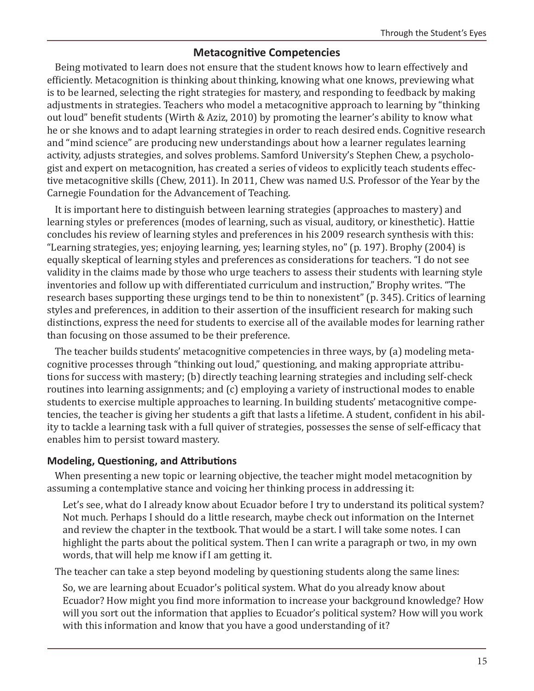## **Metacognitive Competencies**

Being motivated to learn does not ensure that the student knows how to learn effectively and efficiently. Metacognition is thinking about thinking, knowing what one knows, previewing what is to be learned, selecting the right strategies for mastery, and responding to feedback by making adjustments in strategies. Teachers who model a metacognitive approach to learning by "thinking out loud" benefit students (Wirth & Aziz, 2010) by promoting the learner's ability to know what he or she knows and to adapt learning strategies in order to reach desired ends. Cognitive research and "mind science" are producing new understandings about how a learner regulates learning activity, adjusts strategies, and solves problems. Samford University's Stephen Chew, a psychologist and expert on metacognition, has created a series of videos to explicitly teach students effective metacognitive skills (Chew, 2011). In 2011, Chew was named U.S. Professor of the Year by the Carnegie Foundation for the Advancement of Teaching.

It is important here to distinguish between learning strategies (approaches to mastery) and learning styles or preferences (modes of learning, such as visual, auditory, or kinesthetic). Hattie concludes his review of learning styles and preferences in his 2009 research synthesis with this: "Learning strategies, yes; enjoying learning, yes; learning styles, no" (p. 197). Brophy (2004) is equally skeptical of learning styles and preferences as considerations for teachers. "I do not see validity in the claims made by those who urge teachers to assess their students with learning style inventories and follow up with differentiated curriculum and instruction," Brophy writes. "The research bases supporting these urgings tend to be thin to nonexistent" (p. 345). Critics of learning styles and preferences, in addition to their assertion of the insufficient research for making such distinctions, express the need for students to exercise all of the available modes for learning rather than focusing on those assumed to be their preference.

The teacher builds students' metacognitive competencies in three ways, by (a) modeling metacognitive processes through "thinking out loud," questioning, and making appropriate attributions for success with mastery; (b) directly teaching learning strategies and including self-check routines into learning assignments; and (c) employing a variety of instructional modes to enable students to exercise multiple approaches to learning. In building students' metacognitive competencies, the teacher is giving her students a gift that lasts a lifetime. A student, confident in his ability to tackle a learning task with a full quiver of strategies, possesses the sense of self-efficacy that enables him to persist toward mastery.

## **Modeling, Questioning, and Attributions**

When presenting a new topic or learning objective, the teacher might model metacognition by assuming a contemplative stance and voicing her thinking process in addressing it:

Let's see, what do I already know about Ecuador before I try to understand its political system? Not much. Perhaps I should do a little research, maybe check out information on the Internet and review the chapter in the textbook. That would be a start. I will take some notes. I can highlight the parts about the political system. Then I can write a paragraph or two, in my own words, that will help me know if I am getting it.

The teacher can take a step beyond modeling by questioning students along the same lines:

So, we are learning about Ecuador's political system. What do you already know about Ecuador? How might you find more information to increase your background knowledge? How will you sort out the information that applies to Ecuador's political system? How will you work with this information and know that you have a good understanding of it?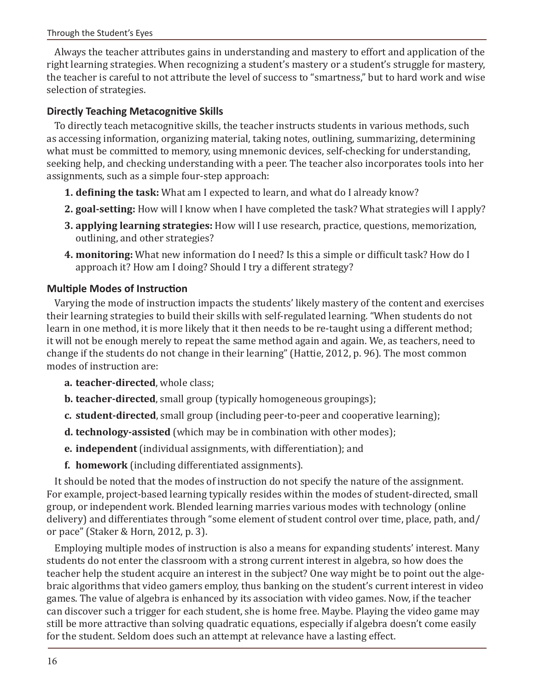Always the teacher attributes gains in understanding and mastery to effort and application of the right learning strategies. When recognizing a student's mastery or a student's struggle for mastery, the teacher is careful to not attribute the level of success to "smartness," but to hard work and wise selection of strategies.

## **Directly Teaching Metacognitive Skills**

To directly teach metacognitive skills, the teacher instructs students in various methods, such as accessing information, organizing material, taking notes, outlining, summarizing, determining what must be committed to memory, using mnemonic devices, self-checking for understanding, seeking help, and checking understanding with a peer. The teacher also incorporates tools into her assignments, such as a simple four-step approach:

- **1. defining the task:** What am I expected to learn, and what do I already know?
- **2. goal-setting:** How will I know when I have completed the task? What strategies will I apply?
- **3. applying learning strategies:** How will I use research, practice, questions, memorization, outlining, and other strategies?
- **4. monitoring:** What new information do I need? Is this a simple or difficult task? How do I approach it? How am I doing? Should I try a different strategy?

## **Multiple Modes of Instruction**

Varying the mode of instruction impacts the students' likely mastery of the content and exercises their learning strategies to build their skills with self-regulated learning. "When students do not learn in one method, it is more likely that it then needs to be re-taught using a different method; it will not be enough merely to repeat the same method again and again. We, as teachers, need to change if the students do not change in their learning" (Hattie, 2012, p. 96). The most common modes of instruction are:

- **a. teacher-directed**, whole class;
- **b. teacher-directed**, small group (typically homogeneous groupings);
- **c. student-directed**, small group (including peer-to-peer and cooperative learning);
- **d. technology-assisted** (which may be in combination with other modes);
- **e. independent** (individual assignments, with differentiation); and
- **f. homework** (including differentiated assignments).

It should be noted that the modes of instruction do not specify the nature of the assignment. For example, project-based learning typically resides within the modes of student-directed, small group, or independent work. Blended learning marries various modes with technology (online delivery) and differentiates through "some element of student control over time, place, path, and/ or pace" (Staker & Horn, 2012, p. 3).

Employing multiple modes of instruction is also a means for expanding students' interest. Many students do not enter the classroom with a strong current interest in algebra, so how does the teacher help the student acquire an interest in the subject? One way might be to point out the algebraic algorithms that video gamers employ, thus banking on the student's current interest in video games. The value of algebra is enhanced by its association with video games. Now, if the teacher can discover such a trigger for each student, she is home free. Maybe. Playing the video game may still be more attractive than solving quadratic equations, especially if algebra doesn't come easily for the student. Seldom does such an attempt at relevance have a lasting effect.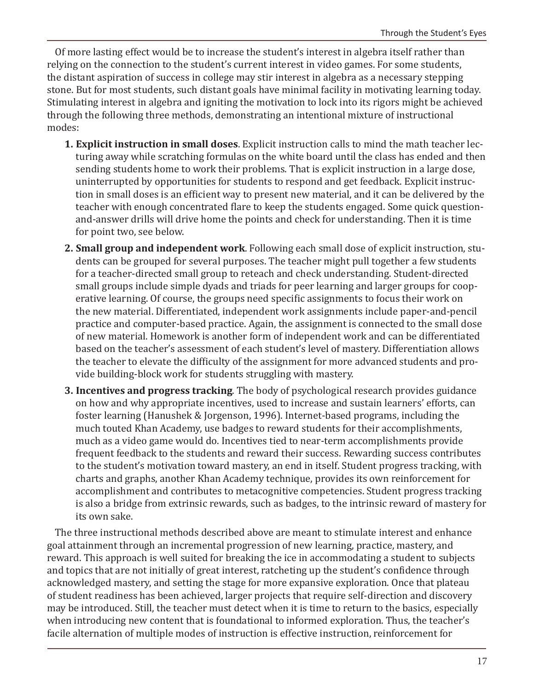Of more lasting effect would be to increase the student's interest in algebra itself rather than relying on the connection to the student's current interest in video games. For some students, the distant aspiration of success in college may stir interest in algebra as a necessary stepping stone. But for most students, such distant goals have minimal facility in motivating learning today. Stimulating interest in algebra and igniting the motivation to lock into its rigors might be achieved through the following three methods, demonstrating an intentional mixture of instructional modes:

- **1. Explicit instruction in small doses**. Explicit instruction calls to mind the math teacher lecturing away while scratching formulas on the white board until the class has ended and then sending students home to work their problems. That is explicit instruction in a large dose, uninterrupted by opportunities for students to respond and get feedback. Explicit instruction in small doses is an efficient way to present new material, and it can be delivered by the teacher with enough concentrated flare to keep the students engaged. Some quick questionand-answer drills will drive home the points and check for understanding. Then it is time for point two, see below.
- **2. Small group and independent work**. Following each small dose of explicit instruction, students can be grouped for several purposes. The teacher might pull together a few students for a teacher-directed small group to reteach and check understanding. Student-directed small groups include simple dyads and triads for peer learning and larger groups for cooperative learning. Of course, the groups need specific assignments to focus their work on the new material. Differentiated, independent work assignments include paper-and-pencil practice and computer-based practice. Again, the assignment is connected to the small dose of new material. Homework is another form of independent work and can be differentiated based on the teacher's assessment of each student's level of mastery. Differentiation allows the teacher to elevate the difficulty of the assignment for more advanced students and provide building-block work for students struggling with mastery.
- **3. Incentives and progress tracking**. The body of psychological research provides guidance on how and why appropriate incentives, used to increase and sustain learners' efforts, can foster learning (Hanushek & Jorgenson, 1996). Internet-based programs, including the much touted Khan Academy, use badges to reward students for their accomplishments, much as a video game would do. Incentives tied to near-term accomplishments provide frequent feedback to the students and reward their success. Rewarding success contributes to the student's motivation toward mastery, an end in itself. Student progress tracking, with charts and graphs, another Khan Academy technique, provides its own reinforcement for accomplishment and contributes to metacognitive competencies. Student progress tracking is also a bridge from extrinsic rewards, such as badges, to the intrinsic reward of mastery for its own sake.

The three instructional methods described above are meant to stimulate interest and enhance goal attainment through an incremental progression of new learning, practice, mastery, and reward. This approach is well suited for breaking the ice in accommodating a student to subjects and topics that are not initially of great interest, ratcheting up the student's confidence through acknowledged mastery, and setting the stage for more expansive exploration. Once that plateau of student readiness has been achieved, larger projects that require self-direction and discovery may be introduced. Still, the teacher must detect when it is time to return to the basics, especially when introducing new content that is foundational to informed exploration. Thus, the teacher's facile alternation of multiple modes of instruction is effective instruction, reinforcement for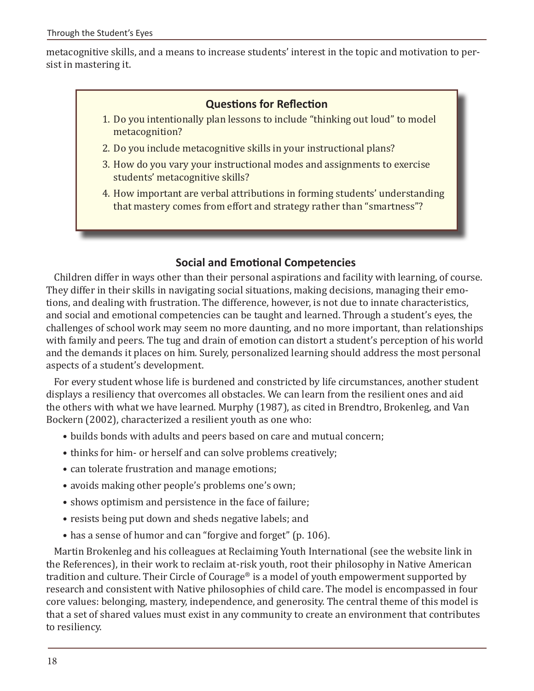metacognitive skills, and a means to increase students' interest in the topic and motivation to persist in mastering it.

## **Questions for Reflection**

- 1. Do you intentionally plan lessons to include "thinking out loud" to model metacognition?
- 2. Do you include metacognitive skills in your instructional plans?
- 3. How do you vary your instructional modes and assignments to exercise students' metacognitive skills?
- 4. How important are verbal attributions in forming students' understanding that mastery comes from effort and strategy rather than "smartness"?

## **Social and Emotional Competencies**

Children differ in ways other than their personal aspirations and facility with learning, of course. They differ in their skills in navigating social situations, making decisions, managing their emotions, and dealing with frustration. The difference, however, is not due to innate characteristics, and social and emotional competencies can be taught and learned. Through a student's eyes, the challenges of school work may seem no more daunting, and no more important, than relationships with family and peers. The tug and drain of emotion can distort a student's perception of his world and the demands it places on him. Surely, personalized learning should address the most personal aspects of a student's development.

For every student whose life is burdened and constricted by life circumstances, another student displays a resiliency that overcomes all obstacles. We can learn from the resilient ones and aid the others with what we have learned. Murphy (1987), as cited in Brendtro, Brokenleg, and Van Bockern (2002), characterized a resilient youth as one who:

- builds bonds with adults and peers based on care and mutual concern;
- thinks for him- or herself and can solve problems creatively;
- can tolerate frustration and manage emotions;
- avoids making other people's problems one's own;
- shows optimism and persistence in the face of failure;
- resists being put down and sheds negative labels; and
- has a sense of humor and can "forgive and forget" (p. 106).

Martin Brokenleg and his colleagues at Reclaiming Youth International (see the website link in the References), in their work to reclaim at-risk youth, root their philosophy in Native American tradition and culture. Their Circle of Courage® is a model of youth empowerment supported by research and consistent with Native philosophies of child care. The model is encompassed in four core values: belonging, mastery, independence, and generosity. The central theme of this model is that a set of shared values must exist in any community to create an environment that contributes to resiliency.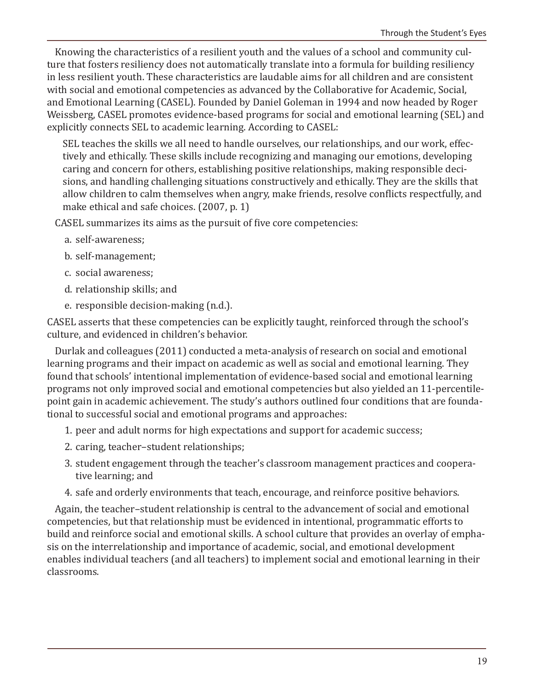Knowing the characteristics of a resilient youth and the values of a school and community culture that fosters resiliency does not automatically translate into a formula for building resiliency in less resilient youth. These characteristics are laudable aims for all children and are consistent with social and emotional competencies as advanced by the Collaborative for Academic, Social, and Emotional Learning (CASEL). Founded by Daniel Goleman in 1994 and now headed by Roger Weissberg, CASEL promotes evidence-based programs for social and emotional learning (SEL) and explicitly connects SEL to academic learning. According to CASEL:

SEL teaches the skills we all need to handle ourselves, our relationships, and our work, effectively and ethically. These skills include recognizing and managing our emotions, developing caring and concern for others, establishing positive relationships, making responsible decisions, and handling challenging situations constructively and ethically. They are the skills that allow children to calm themselves when angry, make friends, resolve conflicts respectfully, and make ethical and safe choices. (2007, p. 1)

CASEL summarizes its aims as the pursuit of five core competencies:

- a. self-awareness;
- b. self-management;
- c. social awareness;
- d. relationship skills; and
- e. responsible decision-making (n.d.).

CASEL asserts that these competencies can be explicitly taught, reinforced through the school's culture, and evidenced in children's behavior.

Durlak and colleagues (2011) conducted a meta-analysis of research on social and emotional learning programs and their impact on academic as well as social and emotional learning. They found that schools' intentional implementation of evidence-based social and emotional learning programs not only improved social and emotional competencies but also yielded an 11-percentilepoint gain in academic achievement. The study's authors outlined four conditions that are foundational to successful social and emotional programs and approaches:

- 1. peer and adult norms for high expectations and support for academic success;
- 2. caring, teacher–student relationships;
- 3. student engagement through the teacher's classroom management practices and cooperative learning; and
- 4. safe and orderly environments that teach, encourage, and reinforce positive behaviors.

Again, the teacher–student relationship is central to the advancement of social and emotional competencies, but that relationship must be evidenced in intentional, programmatic efforts to build and reinforce social and emotional skills. A school culture that provides an overlay of emphasis on the interrelationship and importance of academic, social, and emotional development enables individual teachers (and all teachers) to implement social and emotional learning in their classrooms.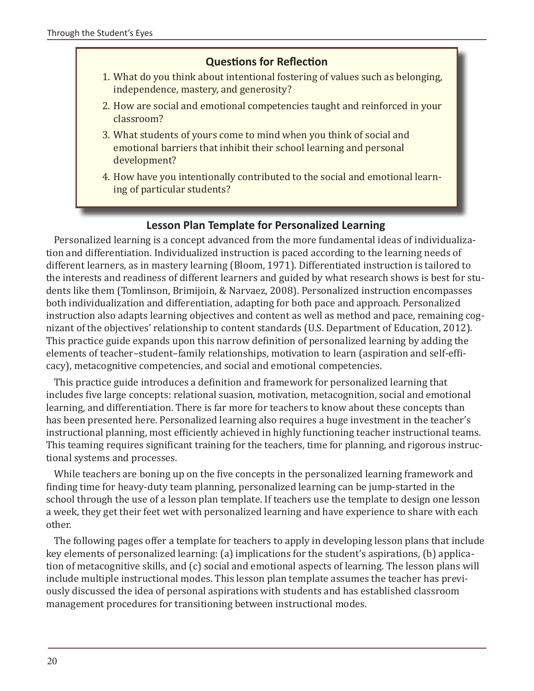## **Questions for Reflection**

- 1. What do you think about intentional fostering of values such as belonging, independence, mastery, and generosity?
- 2. How are social and emotional competencies taught and reinforced in your classroom?
- 3. What students of yours come to mind when you think of social and emotional barriers that inhibit their school learning and personal development?
- 4. How have you intentionally contributed to the social and emotional learning of particular students?

## **Lesson Plan Template for Personalized Learning**

Personalized learning is a concept advanced from the more fundamental ideas of individualization and differentiation. Individualized instruction is paced according to the learning needs of different learners, as in mastery learning (Bloom, 1971). Differentiated instruction is tailored to the interests and readiness of different learners and guided by what research shows is best for students like them (Tomlinson, Brimijoin, & Narvaez, 2008). Personalized instruction encompasses both individualization and differentiation, adapting for both pace and approach. Personalized instruction also adapts learning objectives and content as well as method and pace, remaining cognizant of the objectives' relationship to content standards (U.S. Department of Education, 2012). This practice guide expands upon this narrow definition of personalized learning by adding the elements of teacher–student–family relationships, motivation to learn (aspiration and self-efficacy), metacognitive competencies, and social and emotional competencies.

This practice guide introduces a definition and framework for personalized learning that includes five large concepts: relational suasion, motivation, metacognition, social and emotional learning, and differentiation. There is far more for teachers to know about these concepts than has been presented here. Personalized learning also requires a huge investment in the teacher's instructional planning, most efficiently achieved in highly functioning teacher instructional teams. This teaming requires significant training for the teachers, time for planning, and rigorous instructional systems and processes.

While teachers are boning up on the five concepts in the personalized learning framework and finding time for heavy-duty team planning, personalized learning can be jump-started in the school through the use of a lesson plan template. If teachers use the template to design one lesson a week, they get their feet wet with personalized learning and have experience to share with each other.

The following pages offer a template for teachers to apply in developing lesson plans that include key elements of personalized learning: (a) implications for the student's aspirations, (b) application of metacognitive skills, and (c) social and emotional aspects of learning. The lesson plans will include multiple instructional modes. This lesson plan template assumes the teacher has previously discussed the idea of personal aspirations with students and has established classroom management procedures for transitioning between instructional modes.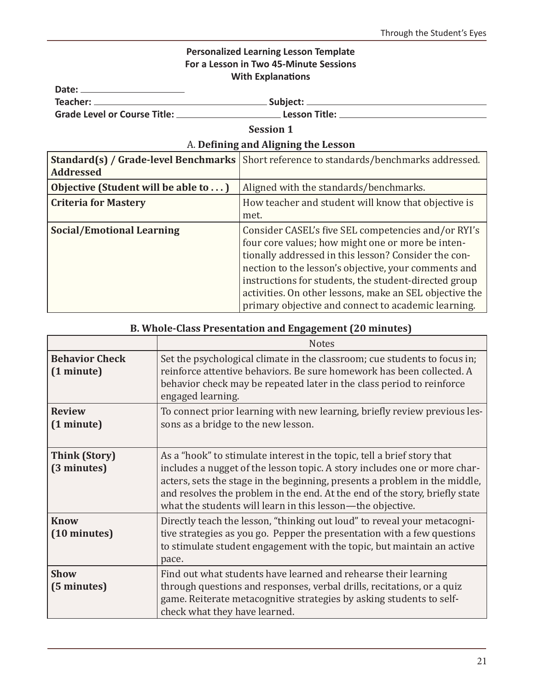## **Personalized Learning Lesson Template For a Lesson in Two 45-Minute Sessions With Explanations**

Date:

| Subject:      |
|---------------|
| Lesson Title: |
|               |

**Session 1**

## A. **Defining and Aligning the Lesson**

| Standard(s) / Grade-level Benchmarks<br><b>Addressed</b> | Short reference to standards/benchmarks addressed.                                                                                                                                                                                                                                                                                                                                                  |
|----------------------------------------------------------|-----------------------------------------------------------------------------------------------------------------------------------------------------------------------------------------------------------------------------------------------------------------------------------------------------------------------------------------------------------------------------------------------------|
| Objective (Student will be able to )                     | Aligned with the standards/benchmarks.                                                                                                                                                                                                                                                                                                                                                              |
| <b>Criteria for Mastery</b>                              | How teacher and student will know that objective is<br>met.                                                                                                                                                                                                                                                                                                                                         |
| <b>Social/Emotional Learning</b>                         | Consider CASEL's five SEL competencies and/or RYI's<br>four core values; how might one or more be inten-<br>tionally addressed in this lesson? Consider the con-<br>nection to the lesson's objective, your comments and<br>instructions for students, the student-directed group<br>activities. On other lessons, make an SEL objective the<br>primary objective and connect to academic learning. |

## **B. Whole-Class Presentation and Engagement (20 minutes)**

|                                     | <b>Notes</b>                                                                                                                                                                                                                                                                                                                                                                    |
|-------------------------------------|---------------------------------------------------------------------------------------------------------------------------------------------------------------------------------------------------------------------------------------------------------------------------------------------------------------------------------------------------------------------------------|
| <b>Behavior Check</b><br>(1 minute) | Set the psychological climate in the classroom; cue students to focus in;<br>reinforce attentive behaviors. Be sure homework has been collected. A<br>behavior check may be repeated later in the class period to reinforce<br>engaged learning.                                                                                                                                |
| <b>Review</b><br>(1 minute)         | To connect prior learning with new learning, briefly review previous les-<br>sons as a bridge to the new lesson.                                                                                                                                                                                                                                                                |
| <b>Think (Story)</b><br>(3 minutes) | As a "hook" to stimulate interest in the topic, tell a brief story that<br>includes a nugget of the lesson topic. A story includes one or more char-<br>acters, sets the stage in the beginning, presents a problem in the middle,<br>and resolves the problem in the end. At the end of the story, briefly state<br>what the students will learn in this lesson-the objective. |
| <b>Know</b><br>(10 minutes)         | Directly teach the lesson, "thinking out loud" to reveal your metacogni-<br>tive strategies as you go. Pepper the presentation with a few questions<br>to stimulate student engagement with the topic, but maintain an active<br>pace.                                                                                                                                          |
| <b>Show</b><br>(5 minutes)          | Find out what students have learned and rehearse their learning<br>through questions and responses, verbal drills, recitations, or a quiz<br>game. Reiterate metacognitive strategies by asking students to self-<br>check what they have learned.                                                                                                                              |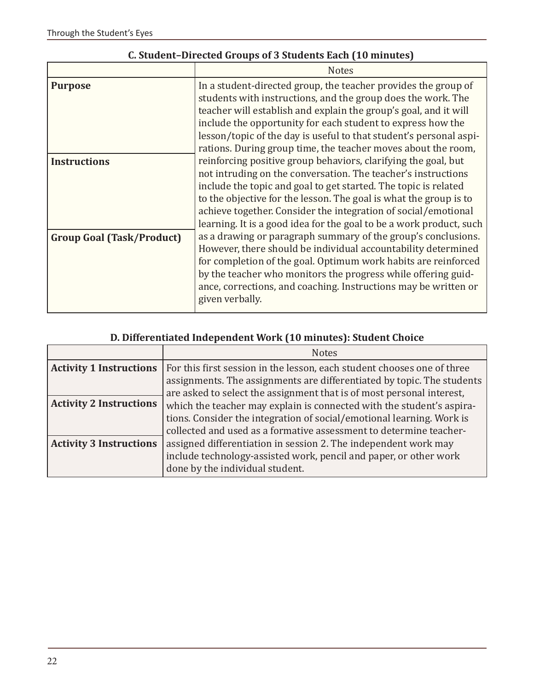|                                  | <b>Notes</b>                                                                                                                                                                                                                                                                                                                                                                                                     |
|----------------------------------|------------------------------------------------------------------------------------------------------------------------------------------------------------------------------------------------------------------------------------------------------------------------------------------------------------------------------------------------------------------------------------------------------------------|
| <b>Purpose</b>                   | In a student-directed group, the teacher provides the group of<br>students with instructions, and the group does the work. The<br>teacher will establish and explain the group's goal, and it will<br>include the opportunity for each student to express how the<br>lesson/topic of the day is useful to that student's personal aspi-<br>rations. During group time, the teacher moves about the room,         |
| <b>Instructions</b>              | reinforcing positive group behaviors, clarifying the goal, but<br>not intruding on the conversation. The teacher's instructions<br>include the topic and goal to get started. The topic is related<br>to the objective for the lesson. The goal is what the group is to<br>achieve together. Consider the integration of social/emotional<br>learning. It is a good idea for the goal to be a work product, such |
| <b>Group Goal (Task/Product)</b> | as a drawing or paragraph summary of the group's conclusions.<br>However, there should be individual accountability determined<br>for completion of the goal. Optimum work habits are reinforced<br>by the teacher who monitors the progress while offering guid-<br>ance, corrections, and coaching. Instructions may be written or<br>given verbally.                                                          |

## **C. Student–Directed Groups of 3 Students Each (10 minutes)**

## **D. Differentiated Independent Work (10 minutes): Student Choice**

|                                | <b>Notes</b>                                                            |
|--------------------------------|-------------------------------------------------------------------------|
| <b>Activity 1 Instructions</b> | For this first session in the lesson, each student chooses one of three |
|                                | assignments. The assignments are differentiated by topic. The students  |
|                                | are asked to select the assignment that is of most personal interest,   |
| <b>Activity 2 Instructions</b> | which the teacher may explain is connected with the student's aspira-   |
|                                | tions. Consider the integration of social/emotional learning. Work is   |
|                                | collected and used as a formative assessment to determine teacher-      |
| <b>Activity 3 Instructions</b> | assigned differentiation in session 2. The independent work may         |
|                                | include technology-assisted work, pencil and paper, or other work       |
|                                | done by the individual student.                                         |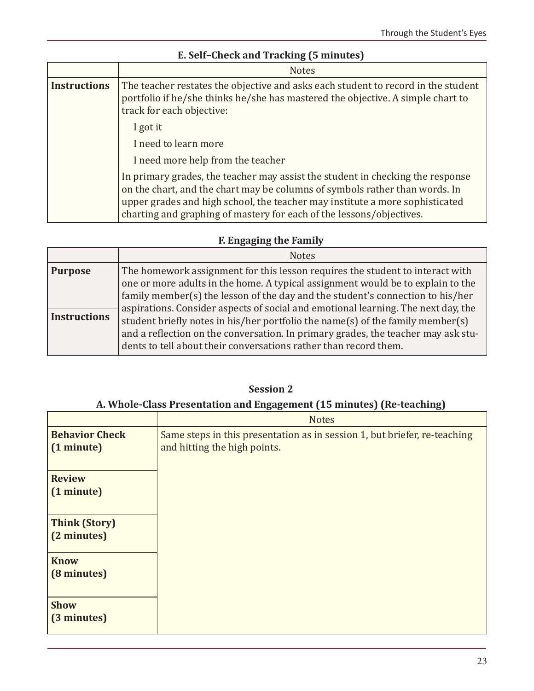|                     | <b>Notes</b>                                                                                                                                                                                                                                                                                                          |
|---------------------|-----------------------------------------------------------------------------------------------------------------------------------------------------------------------------------------------------------------------------------------------------------------------------------------------------------------------|
| <b>Instructions</b> | The teacher restates the objective and asks each student to record in the student<br>portfolio if he/she thinks he/she has mastered the objective. A simple chart to<br>track for each objective:                                                                                                                     |
|                     | I got it                                                                                                                                                                                                                                                                                                              |
|                     | I need to learn more                                                                                                                                                                                                                                                                                                  |
|                     | I need more help from the teacher                                                                                                                                                                                                                                                                                     |
|                     | In primary grades, the teacher may assist the student in checking the response<br>on the chart, and the chart may be columns of symbols rather than words. In<br>upper grades and high school, the teacher may institute a more sophisticated<br>charting and graphing of mastery for each of the lessons/objectives. |

## **E. Self–Check and Tracking (5 minutes)**

## **F. Engaging the Family**

|                     | <b>Notes</b>                                                                                                                                                                                                                                                                                                                                                                                                                                                                                      |
|---------------------|---------------------------------------------------------------------------------------------------------------------------------------------------------------------------------------------------------------------------------------------------------------------------------------------------------------------------------------------------------------------------------------------------------------------------------------------------------------------------------------------------|
| <b>Purpose</b>      | The homework assignment for this lesson requires the student to interact with                                                                                                                                                                                                                                                                                                                                                                                                                     |
| <b>Instructions</b> | one or more adults in the home. A typical assignment would be to explain to the<br>family member(s) the lesson of the day and the student's connection to his/her<br>aspirations. Consider aspects of social and emotional learning. The next day, the<br>student briefly notes in his/her portfolio the name(s) of the family member(s)<br>and a reflection on the conversation. In primary grades, the teacher may ask stu-<br>dents to tell about their conversations rather than record them. |

**Session 2**

## **A. Whole-Class Presentation and Engagement (15 minutes) (Re-teaching)**

| <b>Notes</b>                                                              |
|---------------------------------------------------------------------------|
| Same steps in this presentation as in session 1, but briefer, re-teaching |
| and hitting the high points.                                              |
|                                                                           |
|                                                                           |
|                                                                           |
|                                                                           |
|                                                                           |
|                                                                           |
|                                                                           |
|                                                                           |
|                                                                           |
|                                                                           |
|                                                                           |
|                                                                           |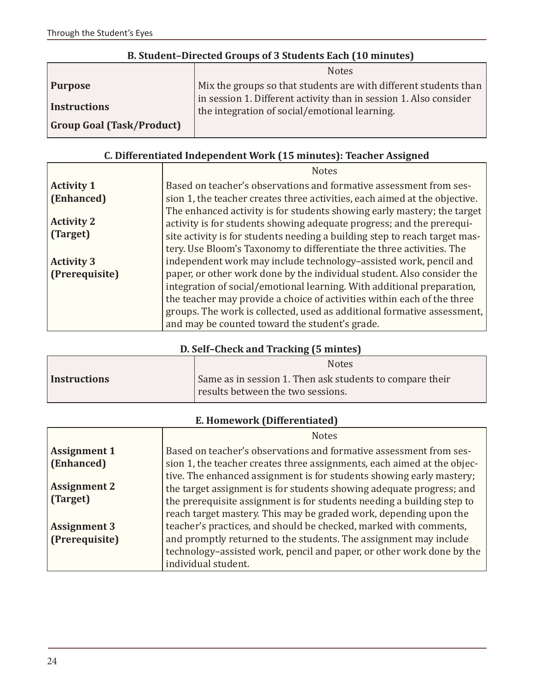|  | B. Student-Directed Groups of 3 Students Each (10 minutes) |  |
|--|------------------------------------------------------------|--|
|  |                                                            |  |

|                                  | <b>Notes</b>                                                                                                       |
|----------------------------------|--------------------------------------------------------------------------------------------------------------------|
| <b>Purpose</b>                   | Mix the groups so that students are with different students than                                                   |
| <b>Instructions</b>              | in session 1. Different activity than in session 1. Also consider<br>the integration of social/emotional learning. |
| <b>Group Goal (Task/Product)</b> |                                                                                                                    |

## **C. Differentiated Independent Work (15 minutes): Teacher Assigned**

|                               | <b>Notes</b>                                                                                                                                                                                                                                                                                            |
|-------------------------------|---------------------------------------------------------------------------------------------------------------------------------------------------------------------------------------------------------------------------------------------------------------------------------------------------------|
| <b>Activity 1</b>             | Based on teacher's observations and formative assessment from ses-                                                                                                                                                                                                                                      |
| (Enhanced)                    | sion 1, the teacher creates three activities, each aimed at the objective.                                                                                                                                                                                                                              |
| <b>Activity 2</b><br>(Target) | The enhanced activity is for students showing early mastery; the target<br>activity is for students showing adequate progress; and the prerequi-<br>site activity is for students needing a building step to reach target mas-<br>tery. Use Bloom's Taxonomy to differentiate the three activities. The |
| <b>Activity 3</b>             | independent work may include technology-assisted work, pencil and                                                                                                                                                                                                                                       |
| (Prerequisite)                | paper, or other work done by the individual student. Also consider the                                                                                                                                                                                                                                  |
|                               | integration of social/emotional learning. With additional preparation,                                                                                                                                                                                                                                  |
|                               | the teacher may provide a choice of activities within each of the three                                                                                                                                                                                                                                 |
|                               | groups. The work is collected, used as additional formative assessment,                                                                                                                                                                                                                                 |
|                               | and may be counted toward the student's grade.                                                                                                                                                                                                                                                          |

## **D. Self–Check and Tracking (5 mintes)**

|                     | <b>Notes</b>                                             |
|---------------------|----------------------------------------------------------|
| <b>Instructions</b> | Same as in session 1. Then ask students to compare their |
|                     | results between the two sessions.                        |

## **E. Homework (Differentiated)**

|                     | <b>Notes</b>                                                            |
|---------------------|-------------------------------------------------------------------------|
| <b>Assignment 1</b> | Based on teacher's observations and formative assessment from ses-      |
| (Enhanced)          | sion 1, the teacher creates three assignments, each aimed at the objec- |
|                     | tive. The enhanced assignment is for students showing early mastery;    |
| <b>Assignment 2</b> | the target assignment is for students showing adequate progress; and    |
| (Target)            | the prerequisite assignment is for students needing a building step to  |
|                     | reach target mastery. This may be graded work, depending upon the       |
| <b>Assignment 3</b> | teacher's practices, and should be checked, marked with comments,       |
| (Prerequisite)      | and promptly returned to the students. The assignment may include       |
|                     | technology-assisted work, pencil and paper, or other work done by the   |
|                     | individual student.                                                     |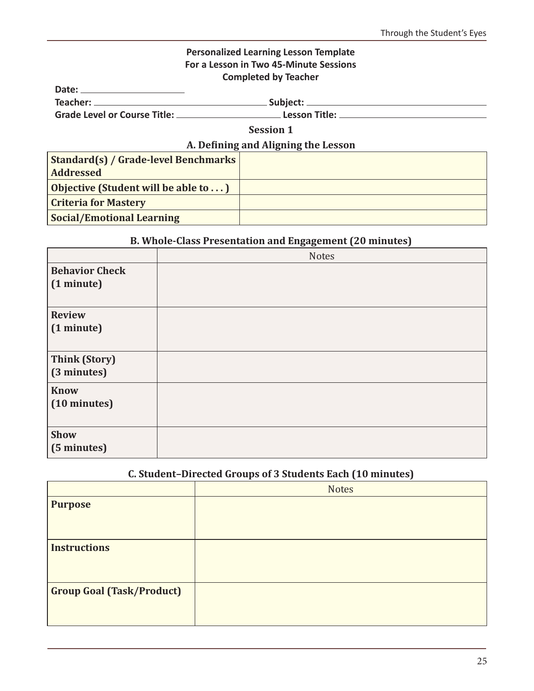#### **Personalized Learning Lesson Template For a Lesson in Two 45-Minute Sessions Completed by Teacher**

**Date:** 

| Teacher: | Subject: |
|----------|----------|
|          |          |

**Grade Level or Course Title: Lesson Title:** 

**Session 1**

## **A. Defining and Aligning the Lesson**

| <b>Standard(s) / Grade-level Benchmarks</b><br><b>Addressed</b> |  |
|-----------------------------------------------------------------|--|
| <b>Objective (Student will be able to)</b>                      |  |
| <b>Criteria for Mastery</b>                                     |  |
| <b>Social/Emotional Learning</b>                                |  |

## **B. Whole-Class Presentation and Engagement (20 minutes)**

|                                     | <b>Notes</b> |
|-------------------------------------|--------------|
| <b>Behavior Check</b><br>(1 minute) |              |
| <b>Review</b><br>(1 minute)         |              |
| <b>Think (Story)</b><br>(3 minutes) |              |
| <b>Know</b><br>(10 minutes)         |              |
| Show<br>(5 minutes)                 |              |

## **C. Student–Directed Groups of 3 Students Each (10 minutes)**

|                                  | <b>Notes</b> |
|----------------------------------|--------------|
| <b>Purpose</b>                   |              |
|                                  |              |
| <b>Instructions</b>              |              |
|                                  |              |
| <b>Group Goal (Task/Product)</b> |              |
|                                  |              |
|                                  |              |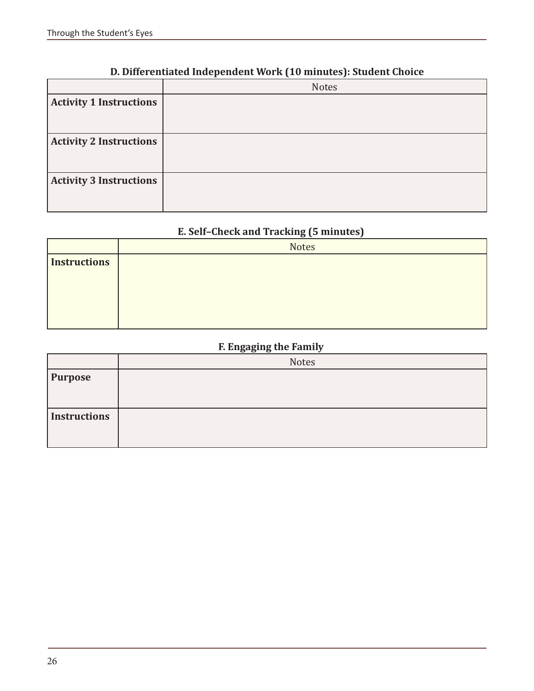|  |  | D. Differentiated Independent Work (10 minutes): Student Choice |
|--|--|-----------------------------------------------------------------|
|--|--|-----------------------------------------------------------------|

|                                | <b>Notes</b> |
|--------------------------------|--------------|
| <b>Activity 1 Instructions</b> |              |
| <b>Activity 2 Instructions</b> |              |
| <b>Activity 3 Instructions</b> |              |

## **E. Self–Check and Tracking (5 minutes)**

|                     | $\sim$       |
|---------------------|--------------|
|                     | <b>Notes</b> |
| <b>Instructions</b> |              |
|                     |              |
|                     |              |
|                     |              |
|                     |              |

## **F. Engaging the Family**

|                     | ---<br>-     |
|---------------------|--------------|
|                     | <b>Notes</b> |
| <b>Purpose</b>      |              |
|                     |              |
|                     |              |
|                     |              |
| <b>Instructions</b> |              |
|                     |              |
|                     |              |
|                     |              |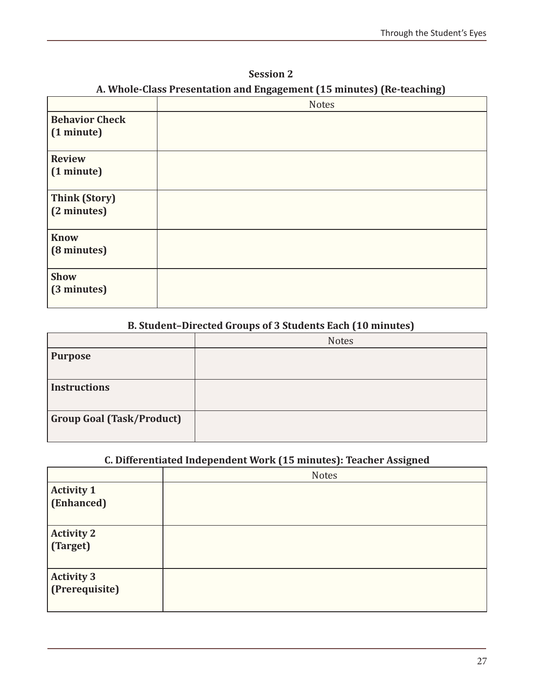| <b>Session 2</b>                                                      |
|-----------------------------------------------------------------------|
| A. Whole-Class Presentation and Engagement (15 minutes) (Re-teaching) |

|                                     | <b>Notes</b> |
|-------------------------------------|--------------|
| <b>Behavior Check</b><br>(1 minute) |              |
| <b>Review</b><br>(1 minute)         |              |
| <b>Think (Story)</b><br>(2 minutes) |              |
| <b>Know</b><br>(8 minutes)          |              |
| <b>Show</b><br>(3 minutes)          |              |

## **B. Student–Directed Groups of 3 Students Each (10 minutes)**

|                                  | <b>Notes</b> |
|----------------------------------|--------------|
| <b>Purpose</b>                   |              |
| <b>Instructions</b>              |              |
| <b>Group Goal (Task/Product)</b> |              |

## **C. Differentiated Independent Work (15 minutes): Teacher Assigned**

|                                 | <b>Notes</b> |
|---------------------------------|--------------|
| <b>Activity 1</b><br>(Enhanced) |              |
| <b>Activity 2</b><br>(Target)   |              |
| Activity 3<br>(Prerequisite)    |              |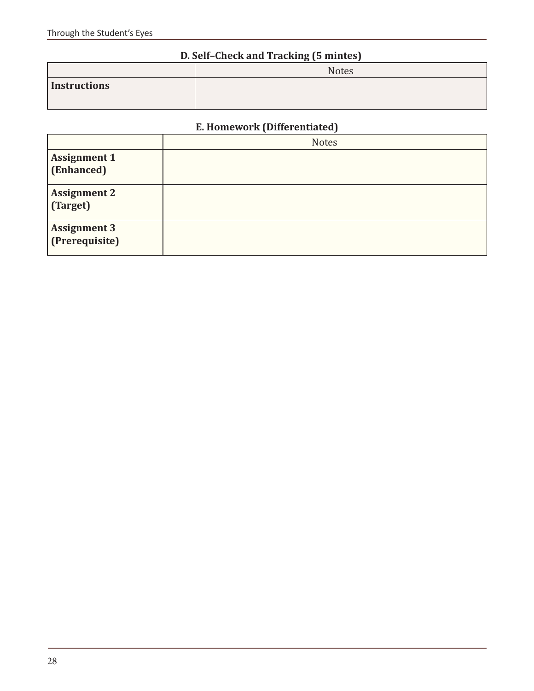## **D. Self–Check and Tracking (5 mintes)**

| $\epsilon$ . Substitution of $\epsilon$ is the subset of $\epsilon$ |              |  |
|---------------------------------------------------------------------|--------------|--|
|                                                                     | <b>Notes</b> |  |
| Instructions                                                        |              |  |

## **E. Homework (Differentiated)**

|                                       | <b>Notes</b> |
|---------------------------------------|--------------|
| <b>Assignment 1</b><br>(Enhanced)     |              |
| <b>Assignment 2</b><br>(Target)       |              |
| <b>Assignment 3</b><br>(Prerequisite) |              |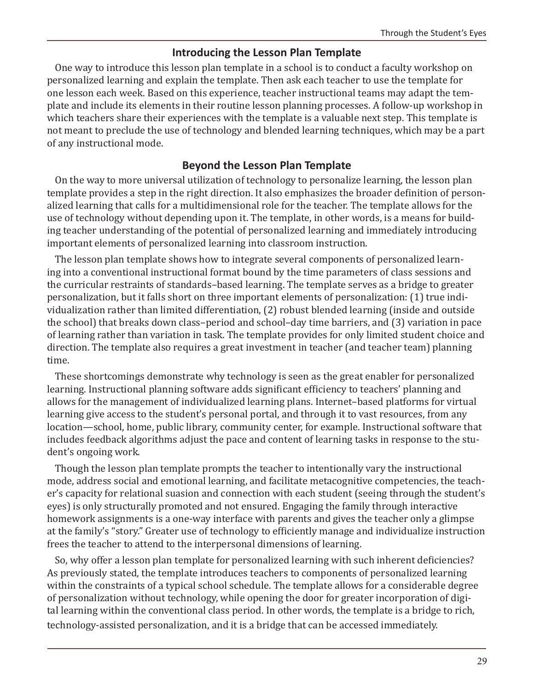#### **Introducing the Lesson Plan Template**

One way to introduce this lesson plan template in a school is to conduct a faculty workshop on personalized learning and explain the template. Then ask each teacher to use the template for one lesson each week. Based on this experience, teacher instructional teams may adapt the template and include its elements in their routine lesson planning processes. A follow-up workshop in which teachers share their experiences with the template is a valuable next step. This template is not meant to preclude the use of technology and blended learning techniques, which may be a part of any instructional mode.

## **Beyond the Lesson Plan Template**

On the way to more universal utilization of technology to personalize learning, the lesson plan template provides a step in the right direction. It also emphasizes the broader definition of personalized learning that calls for a multidimensional role for the teacher. The template allows for the use of technology without depending upon it. The template, in other words, is a means for building teacher understanding of the potential of personalized learning and immediately introducing important elements of personalized learning into classroom instruction.

The lesson plan template shows how to integrate several components of personalized learning into a conventional instructional format bound by the time parameters of class sessions and the curricular restraints of standards–based learning. The template serves as a bridge to greater personalization, but it falls short on three important elements of personalization: (1) true individualization rather than limited differentiation, (2) robust blended learning (inside and outside the school) that breaks down class–period and school–day time barriers, and (3) variation in pace of learning rather than variation in task. The template provides for only limited student choice and direction. The template also requires a great investment in teacher (and teacher team) planning time.

These shortcomings demonstrate why technology is seen as the great enabler for personalized learning. Instructional planning software adds significant efficiency to teachers' planning and allows for the management of individualized learning plans. Internet–based platforms for virtual learning give access to the student's personal portal, and through it to vast resources, from any location—school, home, public library, community center, for example. Instructional software that includes feedback algorithms adjust the pace and content of learning tasks in response to the student's ongoing work.

Though the lesson plan template prompts the teacher to intentionally vary the instructional mode, address social and emotional learning, and facilitate metacognitive competencies, the teacher's capacity for relational suasion and connection with each student (seeing through the student's eyes) is only structurally promoted and not ensured. Engaging the family through interactive homework assignments is a one-way interface with parents and gives the teacher only a glimpse at the family's "story." Greater use of technology to efficiently manage and individualize instruction frees the teacher to attend to the interpersonal dimensions of learning.

So, why offer a lesson plan template for personalized learning with such inherent deficiencies? As previously stated, the template introduces teachers to components of personalized learning within the constraints of a typical school schedule. The template allows for a considerable degree of personalization without technology, while opening the door for greater incorporation of digital learning within the conventional class period. In other words, the template is a bridge to rich, technology-assisted personalization, and it is a bridge that can be accessed immediately.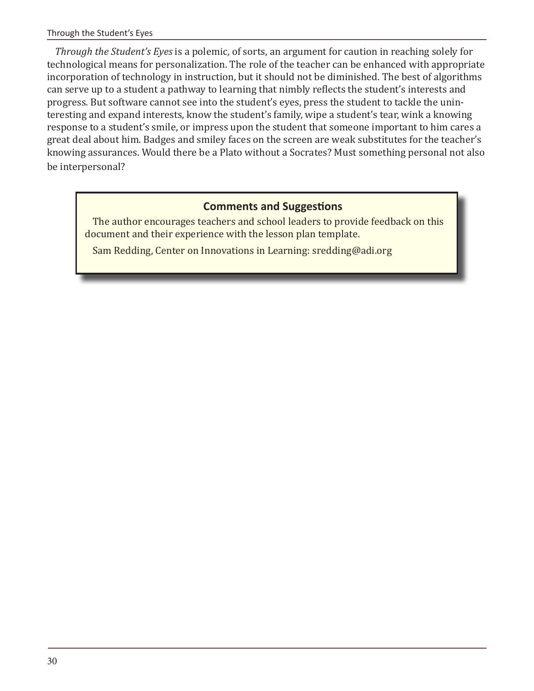*Through the Student's Eyes* is a polemic, of sorts, an argument for caution in reaching solely for technological means for personalization. The role of the teacher can be enhanced with appropriate incorporation of technology in instruction, but it should not be diminished. The best of algorithms can serve up to a student a pathway to learning that nimbly reflects the student's interests and progress. But software cannot see into the student's eyes, press the student to tackle the uninteresting and expand interests, know the student's family, wipe a student's tear, wink a knowing response to a student's smile, or impress upon the student that someone important to him cares a great deal about him. Badges and smiley faces on the screen are weak substitutes for the teacher's knowing assurances. Would there be a Plato without a Socrates? Must something personal not also be interpersonal?

## **Comments and Suggestions**

The author encourages teachers and school leaders to provide feedback on this document and their experience with the lesson plan template.

Sam Redding, Center on Innovations in Learning: sredding@adi.org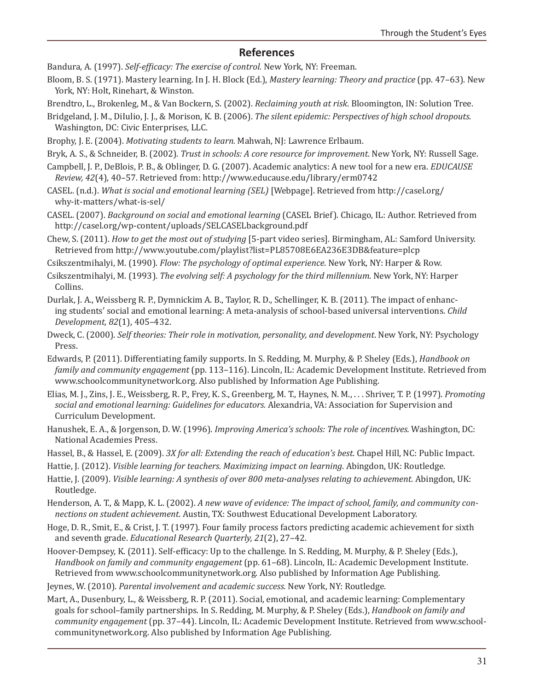#### **References**

Bandura, A. (1997). *Self-efficacy: The exercise of control.* New York, NY: Freeman.

Bloom, B. S. (1971). Mastery learning. In J. H. Block (Ed.), *Mastery learning: Theory and practice* (pp. 47–63). New York, NY: Holt, Rinehart, & Winston.

Brendtro, L., Brokenleg, M., & Van Bockern, S. (2002). *Reclaiming youth at risk*. Bloomington, IN: Solution Tree.

- Bridgeland, J. M., DiIulio, J. J., & Morison, K. B. (2006). *The silent epidemic: Perspectives of high school dropouts.*  Washington, DC: Civic Enterprises, LLC.
- Brophy, J. E. (2004). *Motivating students to learn.* Mahwah, NJ: Lawrence Erlbaum.
- Bryk, A. S., & Schneider, B. (2002). *Trust in schools: A core resource for improvement*. New York, NY: Russell Sage.
- Campbell, J. P., DeBlois, P. B., & Oblinger, D. G. (2007). Academic analytics: A new tool for a new era. *EDUCAUSE Review, 42*(4), 40–57. Retrieved from: http://www.educause.edu/library/erm0742
- CASEL. (n.d.). *What is social and emotional learning (SEL)* [Webpage]. Retrieved from http://casel.org/ why-it-matters/what-is-sel/
- CASEL. (2007). *Background on social and emotional learning* (CASEL Brief). Chicago, IL: Author. Retrieved from http://casel.org/wp-content/uploads/SELCASELbackground.pdf
- Chew, S. (2011). *How to get the most out of studying* [5-part video series]. Birmingham, AL: Samford University. Retrieved from http://www.youtube.com/playlist?list=PL85708E6EA236E3DB&feature=plcp
- Csikszentmihalyi, M. (1990). *Flow: The psychology of optimal experience*. New York, NY: Harper & Row.
- Csikszentmihalyi, M. (1993). *The evolving self: A psychology for the third millennium*. New York, NY: Harper Collins.
- Durlak, J. A., Weissberg R. P., Dymnickim A. B., Taylor, R. D., Schellinger, K. B. (2011). The impact of enhancing students' social and emotional learning: A meta-analysis of school-based universal interventions. *Child Development, 82*(1), 405–432.
- Dweck, C. (2000). *Self theories: Their role in motivation, personality, and development*. New York, NY: Psychology Press.
- Edwards, P. (2011). Differentiating family supports. In S. Redding, M. Murphy, & P. Sheley (Eds.), *Handbook on family and community engagement* (pp. 113–116). Lincoln, IL: Academic Development Institute. Retrieved from www.schoolcommunitynetwork.org. Also published by Information Age Publishing.
- Elias, M. J., Zins, J. E., Weissberg, R. P., Frey, K. S., Greenberg, M. T., Haynes, N. M., . . . Shriver, T. P. (1997). *Promoting social and emotional learning: Guidelines for educators.* Alexandria, VA: Association for Supervision and Curriculum Development.
- Hanushek, E. A., & Jorgenson, D. W. (1996). *Improving America's schools: The role of incentives.* Washington, DC: National Academies Press.
- Hassel, B., & Hassel, E. (2009). *3X for all: Extending the reach of education's best*. Chapel Hill, NC: Public Impact.
- Hattie, J. (2012). *Visible learning for teachers. Maximizing impact on learning*. Abingdon, UK: Routledge.
- Hattie, J. (2009). *Visible learning: A synthesis of over 800 meta-analyses relating to achievement.* Abingdon, UK: Routledge.
- Henderson, A. T., & Mapp, K. L. (2002). *A new wave of evidence: The impact of school, family, and community connections on student achievement.* Austin, TX: Southwest Educational Development Laboratory.
- Hoge, D. R., Smit, E., & Crist, J. T. (1997). Four family process factors predicting academic achievement for sixth and seventh grade. *Educational Research Quarterly, 21*(2), 27–42.
- Hoover-Dempsey, K. (2011). Self-efficacy: Up to the challenge. In S. Redding, M. Murphy, & P. Sheley (Eds.), *Handbook on family and community engagement* (pp. 61–68). Lincoln, IL: Academic Development Institute. Retrieved from www.schoolcommunitynetwork.org. Also published by Information Age Publishing.
- Jeynes, W. (2010). *Parental involvement and academic success.* New York, NY: Routledge.
- Mart, A., Dusenbury, L., & Weissberg, R. P. (2011). Social, emotional, and academic learning: Complementary goals for school–family partnerships. In S. Redding, M. Murphy, & P. Sheley (Eds.), *Handbook on family and community engagement* (pp. 37–44). Lincoln, IL: Academic Development Institute. Retrieved from www.schoolcommunitynetwork.org. Also published by Information Age Publishing.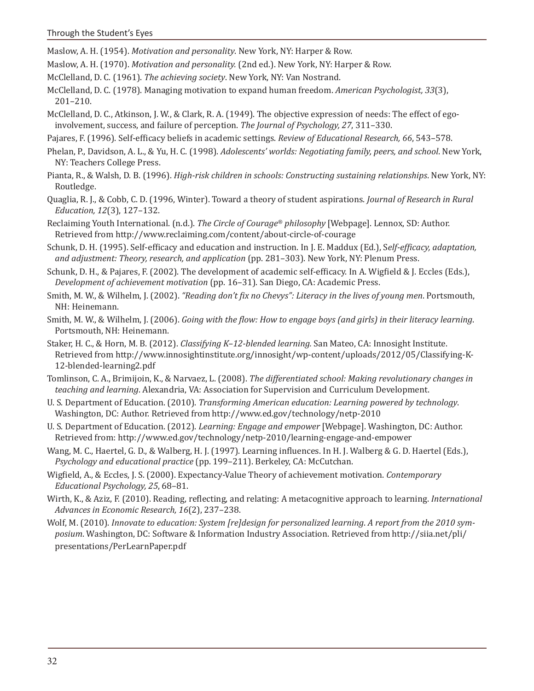Maslow, A. H. (1954). *Motivation and personality*. New York, NY: Harper & Row.

- Maslow, A. H. (1970). *Motivation and personality.* (2nd ed.). New York, NY: Harper & Row.
- McClelland, D. C. (1961). *The achieving society*. New York, NY: Van Nostrand.
- McClelland, D. C. (1978). Managing motivation to expand human freedom. *American Psychologist, 33*(3), 201–210.
- McClelland, D. C., Atkinson, J. W., & Clark, R. A. (1949). The objective expression of needs: The effect of egoinvolvement, success, and failure of perception. *The Journal of Psychology, 27*, 311–330.
- Pajares, F. (1996). Self-efficacy beliefs in academic settings. *Review of Educational Research, 66*, 543–578.
- Phelan, P., Davidson, A. L., & Yu, H. C. (1998). *Adolescents' worlds: Negotiating family, peers, and school*. New York, NY: Teachers College Press.
- Pianta, R., & Walsh, D. B. (1996). *High-risk children in schools: Constructing sustaining relationships*. New York, NY: Routledge.
- Quaglia, R. J., & Cobb, C. D. (1996, Winter). Toward a theory of student aspirations. *Journal of Research in Rural Education, 12*(3), 127–132.
- Reclaiming Youth International. (n.d.). *The Circle of Courage® philosophy* [Webpage]. Lennox, SD: Author. Retrieved from http://www.reclaiming.com/content/about-circle-of-courage
- Schunk, D. H. (1995). Self-efficacy and education and instruction. In J. E. Maddux (Ed.), S*elf-efficacy, adaptation, and adjustment: Theory, research, and application* (pp. 281–303). New York, NY: Plenum Press.
- Schunk, D. H., & Pajares, F. (2002). The development of academic self-efficacy. In A. Wigfield & J. Eccles (Eds.), *Development of achievement motivation* (pp. 16–31). San Diego, CA: Academic Press.
- Smith, M. W., & Wilhelm, J. (2002). *"Reading don't fix no Chevys": Literacy in the lives of young men*. Portsmouth, NH: Heinemann.
- Smith, M. W., & Wilhelm, J. (2006). *Going with the flow: How to engage boys (and girls) in their literacy learning*. Portsmouth, NH: Heinemann.
- Staker, H. C., & Horn, M. B. (2012). *Classifying K–12-blended learning.* San Mateo, CA: Innosight Institute. Retrieved from http://www.innosightinstitute.org/innosight/wp-content/uploads/2012/05/Classifying-K-12-blended-learning2.pdf
- Tomlinson, C. A., Brimijoin, K., & Narvaez, L. (2008). *The differentiated school: Making revolutionary changes in teaching and learning*. Alexandria, VA: Association for Supervision and Curriculum Development.
- U. S. Department of Education. (2010). *Transforming American education: Learning powered by technology*. Washington, DC: Author. Retrieved from http://www.ed.gov/technology/netp-2010
- U. S. Department of Education. (2012). *Learning: Engage and empower* [Webpage]. Washington, DC: Author. Retrieved from: http://www.ed.gov/technology/netp-2010/learning-engage-and-empower
- Wang, M. C., Haertel, G. D., & Walberg, H. J. (1997). Learning influences. In H. J. Walberg & G. D. Haertel (Eds.), *Psychology and educational practice* (pp. 199–211). Berkeley, CA: McCutchan.
- Wigfield, A., & Eccles, J. S. (2000). Expectancy-Value Theory of achievement motivation. *Contemporary Educational Psychology, 25*, 68–81.
- Wirth, K., & Aziz, F. (2010). Reading, reflecting, and relating: A metacognitive approach to learning. *International Advances in Economic Research, 16*(2), 237–238.
- Wolf, M. (2010). *Innovate to education: System [re]design for personalized learning*. *A report from the 2010 symposium*. Washington, DC: Software & Information Industry Association. Retrieved from http://siia.net/pli/ presentations/PerLearnPaper.pdf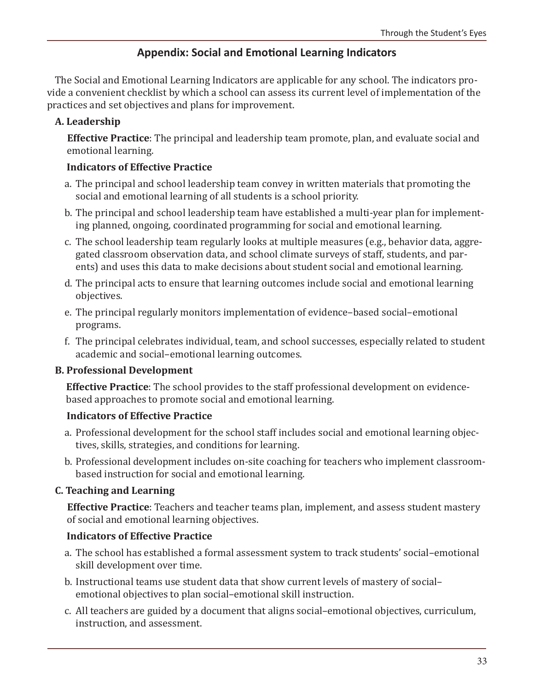## **Appendix: Social and Emotional Learning Indicators**

The Social and Emotional Learning Indicators are applicable for any school. The indicators provide a convenient checklist by which a school can assess its current level of implementation of the practices and set objectives and plans for improvement.

## **A. Leadership**

**Effective Practice**: The principal and leadership team promote, plan, and evaluate social and emotional learning.

## **Indicators of Effective Practice**

- a. The principal and school leadership team convey in written materials that promoting the social and emotional learning of all students is a school priority.
- b. The principal and school leadership team have established a multi-year plan for implementing planned, ongoing, coordinated programming for social and emotional learning.
- c. The school leadership team regularly looks at multiple measures (e.g., behavior data, aggregated classroom observation data, and school climate surveys of staff, students, and parents) and uses this data to make decisions about student social and emotional learning.
- d. The principal acts to ensure that learning outcomes include social and emotional learning objectives.
- e. The principal regularly monitors implementation of evidence–based social–emotional programs.
- f. The principal celebrates individual, team, and school successes, especially related to student academic and social–emotional learning outcomes.

## **B. Professional Development**

**Effective Practice**: The school provides to the staff professional development on evidencebased approaches to promote social and emotional learning.

## **Indicators of Effective Practice**

- a. Professional development for the school staff includes social and emotional learning objectives, skills, strategies, and conditions for learning.
- b. Professional development includes on-site coaching for teachers who implement classroombased instruction for social and emotional learning.

## **C. Teaching and Learning**

**Effective Practice**: Teachers and teacher teams plan, implement, and assess student mastery of social and emotional learning objectives.

## **Indicators of Effective Practice**

- a. The school has established a formal assessment system to track students' social–emotional skill development over time.
- b. Instructional teams use student data that show current levels of mastery of social– emotional objectives to plan social–emotional skill instruction.
- c. All teachers are guided by a document that aligns social–emotional objectives, curriculum, instruction, and assessment.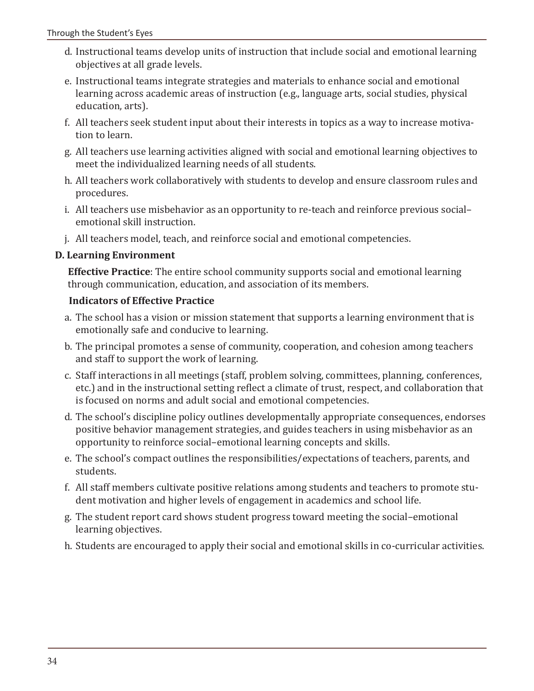- d. Instructional teams develop units of instruction that include social and emotional learning objectives at all grade levels.
- e. Instructional teams integrate strategies and materials to enhance social and emotional learning across academic areas of instruction (e.g., language arts, social studies, physical education, arts).
- f. All teachers seek student input about their interests in topics as a way to increase motivation to learn.
- g. All teachers use learning activities aligned with social and emotional learning objectives to meet the individualized learning needs of all students.
- h. All teachers work collaboratively with students to develop and ensure classroom rules and procedures.
- i. All teachers use misbehavior as an opportunity to re-teach and reinforce previous social– emotional skill instruction.
- j. All teachers model, teach, and reinforce social and emotional competencies.

## **D. Learning Environment**

**Effective Practice**: The entire school community supports social and emotional learning through communication, education, and association of its members.

## **Indicators of Effective Practice**

- a. The school has a vision or mission statement that supports a learning environment that is emotionally safe and conducive to learning.
- b. The principal promotes a sense of community, cooperation, and cohesion among teachers and staff to support the work of learning.
- c. Staff interactions in all meetings (staff, problem solving, committees, planning, conferences, etc.) and in the instructional setting reflect a climate of trust, respect, and collaboration that is focused on norms and adult social and emotional competencies.
- d. The school's discipline policy outlines developmentally appropriate consequences, endorses positive behavior management strategies, and guides teachers in using misbehavior as an opportunity to reinforce social–emotional learning concepts and skills.
- e. The school's compact outlines the responsibilities/expectations of teachers, parents, and students.
- f. All staff members cultivate positive relations among students and teachers to promote student motivation and higher levels of engagement in academics and school life.
- g. The student report card shows student progress toward meeting the social–emotional learning objectives.
- h. Students are encouraged to apply their social and emotional skills in co-curricular activities.